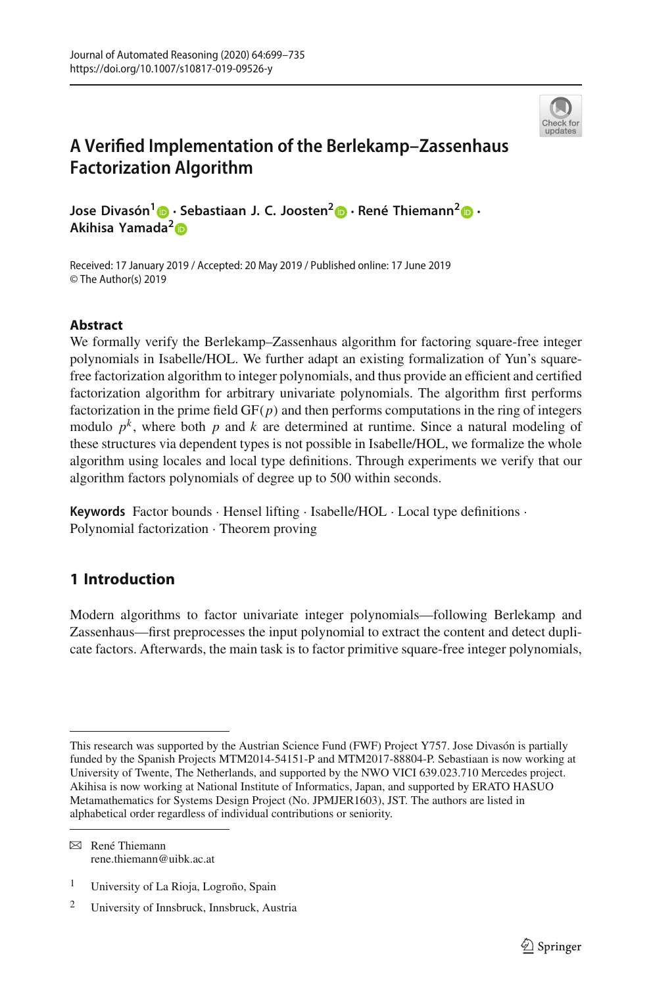

# **A Verified Implementation of the Berlekamp–Zassenhaus Factorization Algorithm**

**Jose Divasón<sup>1</sup> [·](http://orcid.org/0000-0001-8872-2240) Sebastiaan J. C. Joosten[2](http://orcid.org/0000-0002-6590-6220) · René Thiemann[2](http://orcid.org/0000-0002-0323-8829) · Akihisa Yama[da](http://orcid.org/0000-0002-5173-128X)<sup>2</sup>**

Received: 17 January 2019 / Accepted: 20 May 2019 / Published online: 17 June 2019 © The Author(s) 2019

# **Abstract**

We formally verify the Berlekamp–Zassenhaus algorithm for factoring square-free integer polynomials in Isabelle/HOL. We further adapt an existing formalization of Yun's squarefree factorization algorithm to integer polynomials, and thus provide an efficient and certified factorization algorithm for arbitrary univariate polynomials. The algorithm first performs factorization in the prime field  $GF(p)$  and then performs computations in the ring of integers modulo  $p^k$ , where both p and k are determined at runtime. Since a natural modeling of these structures via dependent types is not possible in Isabelle/HOL, we formalize the whole algorithm using locales and local type definitions. Through experiments we verify that our algorithm factors polynomials of degree up to 500 within seconds.

**Keywords** Factor bounds · Hensel lifting · Isabelle/HOL · Local type definitions · Polynomial factorization · Theorem proving

# **1 Introduction**

Modern algorithms to factor univariate integer polynomials—following Berlekamp and Zassenhaus—first preprocesses the input polynomial to extract the content and detect duplicate factors. Afterwards, the main task is to factor primitive square-free integer polynomials,

 $\boxtimes$  René Thiemann rene.thiemann@uibk.ac.at

<sup>1</sup> University of La Rioja, Logroño, Spain

This research was supported by the Austrian Science Fund (FWF) Project Y757. Jose Divasón is partially funded by the Spanish Projects MTM2014-54151-P and MTM2017-88804-P. Sebastiaan is now working at University of Twente, The Netherlands, and supported by the NWO VICI 639.023.710 Mercedes project. Akihisa is now working at National Institute of Informatics, Japan, and supported by ERATO HASUO Metamathematics for Systems Design Project (No. JPMJER1603), JST. The authors are listed in alphabetical order regardless of individual contributions or seniority.

<sup>2</sup> University of Innsbruck, Innsbruck, Austria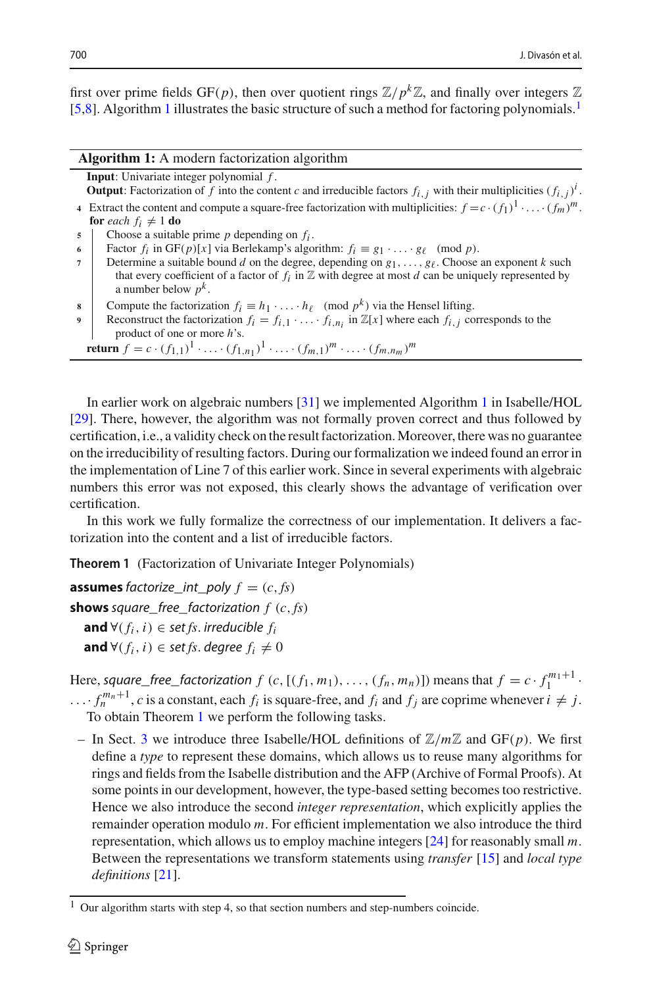first over prime fields GF(*p*), then over quotient rings  $\mathbb{Z}/p^k\mathbb{Z}$ , and finally over integers  $\mathbb Z$ [\[5](#page-35-0)[,8](#page-35-1)]. Algorithm [1](#page-1-0) illustrates the basic structure of such a method for factoring polynomials[.1](#page-1-1)

<span id="page-1-0"></span>

| <b>Algorithm 1:</b> A modern factorization algorithm |                                                                                                                                                                                                                                                         |  |  |  |  |
|------------------------------------------------------|---------------------------------------------------------------------------------------------------------------------------------------------------------------------------------------------------------------------------------------------------------|--|--|--|--|
|                                                      | <b>Input:</b> Univariate integer polynomial $f$ .                                                                                                                                                                                                       |  |  |  |  |
|                                                      | <b>Output:</b> Factorization of f into the content c and irreducible factors $f_{i,j}$ with their multiplicities $(f_{i,j})^T$ .                                                                                                                        |  |  |  |  |
|                                                      | 4 Extract the content and compute a square-free factorization with multiplicities: $f = c \cdot (f_1)^1 \cdot \ldots \cdot (f_m)^m$ .                                                                                                                   |  |  |  |  |
|                                                      | <b>for</b> each $f_i \neq 1$ <b>do</b>                                                                                                                                                                                                                  |  |  |  |  |
| 5                                                    | Choose a suitable prime $p$ depending on $f_i$ .                                                                                                                                                                                                        |  |  |  |  |
| 6                                                    | Factor $f_i$ in GF(p)[x] via Berlekamp's algorithm: $f_i \equiv g_1 \cdot \ldots \cdot g_\ell \pmod{p}$ .                                                                                                                                               |  |  |  |  |
| $\overline{7}$                                       | Determine a suitable bound d on the degree, depending on $g_1, \ldots, g_\ell$ . Choose an exponent k such<br>that every coefficient of a factor of $f_i$ in $\mathbb Z$ with degree at most d can be uniquely represented by<br>a number below $p^k$ . |  |  |  |  |
| 8                                                    | Compute the factorization $f_i \equiv h_1 \cdot \ldots \cdot h_\ell \pmod{p^k}$ via the Hensel lifting.                                                                                                                                                 |  |  |  |  |
| 9                                                    | Reconstruct the factorization $f_i = f_{i,1} \cdot \ldots \cdot f_{i,n_i}$ in $\mathbb{Z}[x]$ where each $f_{i,j}$ corresponds to the<br>product of one or more $h$ 's.                                                                                 |  |  |  |  |
|                                                      | <b>return</b> $f = c \cdot (f_{1,1})^1 \cdot \ldots \cdot (f_{1,n_1})^1 \cdot \ldots \cdot (f_{m,1})^m \cdot \ldots \cdot (f_{m,n_m})^m$                                                                                                                |  |  |  |  |

In earlier work on algebraic numbers [\[31\]](#page-36-0) we implemented Algorithm [1](#page-1-0) in Isabelle/HOL [\[29\]](#page-36-1). There, however, the algorithm was not formally proven correct and thus followed by certification, i.e., a validity check on the result factorization. Moreover, there was no guarantee on the irreducibility of resulting factors. During our formalization we indeed found an error in the implementation of Line 7 of this earlier work. Since in several experiments with algebraic numbers this error was not exposed, this clearly shows the advantage of verification over certification.

<span id="page-1-2"></span>In this work we fully formalize the correctness of our implementation. It delivers a factorization into the content and a list of irreducible factors.

**Theorem 1** (Factorization of Univariate Integer Polynomials)

**assumes** factorize int poly  $f = (c, fs)$ **shows** square free factorization  $f(c, fs)$ **and** ∀( $f_i$ ,  $i$ ) ∈ set  $fs$ . irreducible  $f_i$ **and** ∀ $(f_i, i)$  ∈ set *fs*. degree  $f_i \neq 0$ 

Here, square\_free\_factorization  $f(c,[(f_1, m_1), \ldots, (f_n, m_n)])$  means that  $f = c \cdot f_1^{m_1+1}$ .  $\dots$  *f*<sub>n</sub><sup>m<sub>n</sub>+1</sup>, *c* is a constant, each *f<sub>i</sub>* is square-free, and *f<sub>i</sub>* and *f<sub>j</sub>* are coprime whenever  $i \neq j$ . To obtain Theorem [1](#page-1-2) we perform the following tasks.

– In Sect. [3](#page-4-0) we introduce three Isabelle/HOL definitions of  $\mathbb{Z}/m\mathbb{Z}$  and GF(*p*). We first define a *type* to represent these domains, which allows us to reuse many algorithms for rings and fields from the Isabelle distribution and the AFP (Archive of Formal Proofs). At some points in our development, however, the type-based setting becomes too restrictive. Hence we also introduce the second *integer representation*, which explicitly applies the remainder operation modulo *m*. For efficient implementation we also introduce the third representation, which allows us to employ machine integers [\[24\]](#page-36-2) for reasonably small *m*. Between the representations we transform statements using *transfer* [\[15](#page-35-2)] and *local type definitions* [\[21\]](#page-35-3).

<span id="page-1-1"></span><sup>1</sup> Our algorithm starts with step 4, so that section numbers and step-numbers coincide.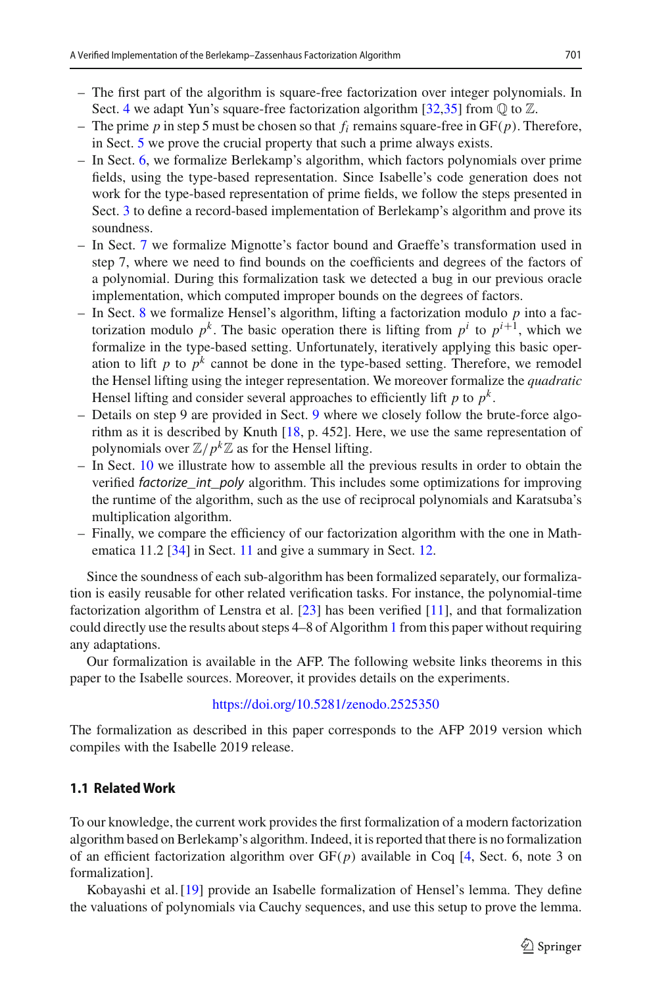- The first part of the algorithm is square-free factorization over integer polynomials. In Sect. [4](#page-12-0) we adapt Yun's square-free factorization algorithm  $[32,35]$  $[32,35]$  $[32,35]$  from  $\mathbb Q$  to  $\mathbb Z$ .
- The prime  $p$  in step 5 must be chosen so that  $f_i$  remains square-free in  $GF(p)$ . Therefore, in Sect. [5](#page-13-0) we prove the crucial property that such a prime always exists.
- In Sect. [6,](#page-14-0) we formalize Berlekamp's algorithm, which factors polynomials over prime fields, using the type-based representation. Since Isabelle's code generation does not work for the type-based representation of prime fields, we follow the steps presented in Sect. [3](#page-4-0) to define a record-based implementation of Berlekamp's algorithm and prove its soundness.
- In Sect. [7](#page-21-0) we formalize Mignotte's factor bound and Graeffe's transformation used in step 7, where we need to find bounds on the coefficients and degrees of the factors of a polynomial. During this formalization task we detected a bug in our previous oracle implementation, which computed improper bounds on the degrees of factors.
- In Sect. [8](#page-25-0) we formalize Hensel's algorithm, lifting a factorization modulo *p* into a factorization modulo  $p^k$ . The basic operation there is lifting from  $p^i$  to  $p^{i+1}$ , which we formalize in the type-based setting. Unfortunately, iteratively applying this basic operation to lift *p* to  $p^k$  cannot be done in the type-based setting. Therefore, we remodel the Hensel lifting using the integer representation. We moreover formalize the *quadratic* Hensel lifting and consider several approaches to efficiently lift  $p$  to  $p^k$ .
- Details on step 9 are provided in Sect. [9](#page-28-0) where we closely follow the brute-force algorithm as it is described by Knuth [\[18,](#page-35-4) p. 452]. Here, we use the same representation of polynomials over  $\mathbb{Z}/p^k\mathbb{Z}$  as for the Hensel lifting.
- In Sect. [10](#page-30-0) we illustrate how to assemble all the previous results in order to obtain the verified *factorize* int poly algorithm. This includes some optimizations for improving the runtime of the algorithm, such as the use of reciprocal polynomials and Karatsuba's multiplication algorithm.
- Finally, we compare the efficiency of our factorization algorithm with the one in Math-ematica 11.2 [\[34](#page-36-5)] in Sect. [11](#page-32-0) and give a summary in Sect. [12.](#page-34-0)

Since the soundness of each sub-algorithm has been formalized separately, our formalization is easily reusable for other related verification tasks. For instance, the polynomial-time factorization algorithm of Lenstra et al. [\[23\]](#page-36-6) has been verified [\[11](#page-35-5)], and that formalization could directly use the results about steps 4–8 of Algorithm [1](#page-1-0) from this paper without requiring any adaptations.

Our formalization is available in the AFP. The following website links theorems in this paper to the Isabelle sources. Moreover, it provides details on the experiments.

#### <https://doi.org/10.5281/zenodo.2525350>

The formalization as described in this paper corresponds to the AFP 2019 version which compiles with the Isabelle 2019 release.

## **1.1 Related Work**

To our knowledge, the current work provides the first formalization of a modern factorization algorithm based on Berlekamp's algorithm. Indeed, it is reported that there is no formalization of an efficient factorization algorithm over  $GF(p)$  available in Coq [\[4](#page-35-6), Sect. 6, note 3 on formalization].

Kobayashi et al. [\[19](#page-35-7)] provide an Isabelle formalization of Hensel's lemma. They define the valuations of polynomials via Cauchy sequences, and use this setup to prove the lemma.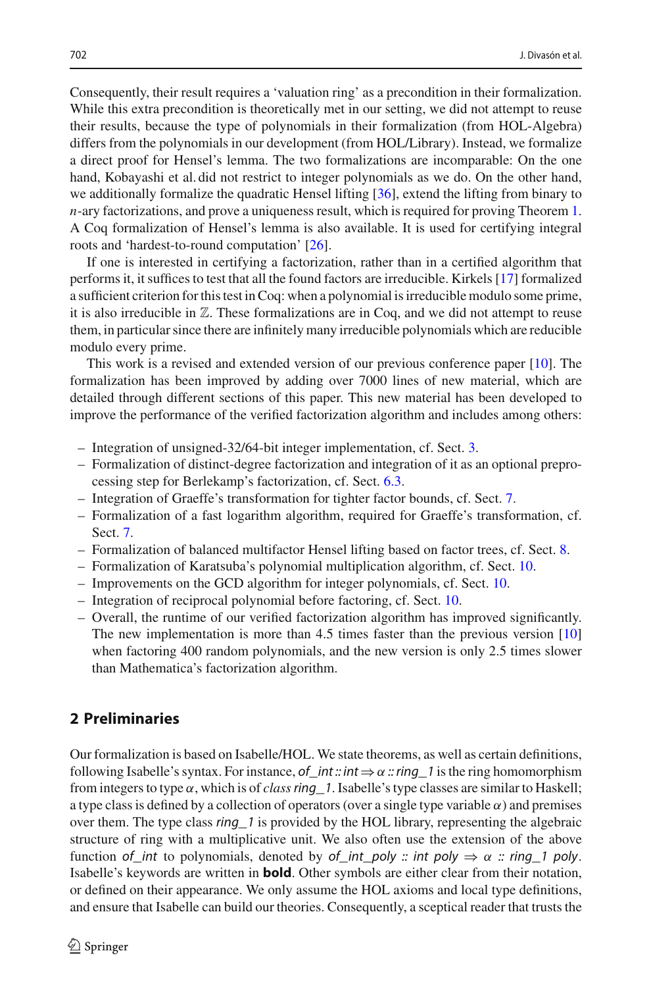Consequently, their result requires a 'valuation ring' as a precondition in their formalization. While this extra precondition is theoretically met in our setting, we did not attempt to reuse their results, because the type of polynomials in their formalization (from HOL-Algebra) differs from the polynomials in our development (from HOL/Library). Instead, we formalize a direct proof for Hensel's lemma. The two formalizations are incomparable: On the one hand, Kobayashi et al. did not restrict to integer polynomials as we do. On the other hand, we additionally formalize the quadratic Hensel lifting [\[36](#page-36-7)], extend the lifting from binary to *n*-ary factorizations, and prove a uniqueness result, which is required for proving Theorem [1.](#page-1-2) A Coq formalization of Hensel's lemma is also available. It is used for certifying integral roots and 'hardest-to-round computation' [\[26\]](#page-36-8).

If one is interested in certifying a factorization, rather than in a certified algorithm that performs it, it suffices to test that all the found factors are irreducible. Kirkels [\[17](#page-35-8)] formalized a sufficient criterion for this test in Coq: when a polynomial is irreducible modulo some prime, it is also irreducible in  $\mathbb{Z}$ . These formalizations are in Coq, and we did not attempt to reuse them, in particular since there are infinitely many irreducible polynomials which are reducible modulo every prime.

This work is a revised and extended version of our previous conference paper [\[10](#page-35-9)]. The formalization has been improved by adding over 7000 lines of new material, which are detailed through different sections of this paper. This new material has been developed to improve the performance of the verified factorization algorithm and includes among others:

- Integration of unsigned-32/64-bit integer implementation, cf. Sect. [3.](#page-4-0)
- Formalization of distinct-degree factorization and integration of it as an optional preprocessing step for Berlekamp's factorization, cf. Sect. [6.3.](#page-18-0)
- Integration of Graeffe's transformation for tighter factor bounds, cf. Sect. [7.](#page-21-0)
- Formalization of a fast logarithm algorithm, required for Graeffe's transformation, cf. Sect. [7.](#page-21-0)
- Formalization of balanced multifactor Hensel lifting based on factor trees, cf. Sect. [8.](#page-25-0)
- Formalization of Karatsuba's polynomial multiplication algorithm, cf. Sect. [10.](#page-30-0)
- Improvements on the GCD algorithm for integer polynomials, cf. Sect. [10.](#page-30-0)
- Integration of reciprocal polynomial before factoring, cf. Sect. [10.](#page-30-0)
- Overall, the runtime of our verified factorization algorithm has improved significantly. The new implementation is more than 4.5 times faster than the previous version [\[10\]](#page-35-9) when factoring 400 random polynomials, and the new version is only 2.5 times slower than Mathematica's factorization algorithm.

# **2 Preliminaries**

Our formalization is based on Isabelle/HOL. We state theorems, as well as certain definitions, following Isabelle's syntax. For instance, of int :: int  $\Rightarrow \alpha$  :: ring 1 is the ring homomorphism from integers to type α, which is of *class*ring\_1. Isabelle's type classes are similar to Haskell; a type class is defined by a collection of operators (over a single type variable  $\alpha$ ) and premises over them. The type class *ring*<sup>1</sup> is provided by the HOL library, representing the algebraic structure of ring with a multiplicative unit. We also often use the extension of the above function of\_int to polynomials, denoted by of\_int\_poly :: int poly  $\Rightarrow \alpha$  :: ring\_1 poly. Isabelle's keywords are written in **bold**. Other symbols are either clear from their notation, or defined on their appearance. We only assume the HOL axioms and local type definitions, and ensure that Isabelle can build our theories. Consequently, a sceptical reader that trusts the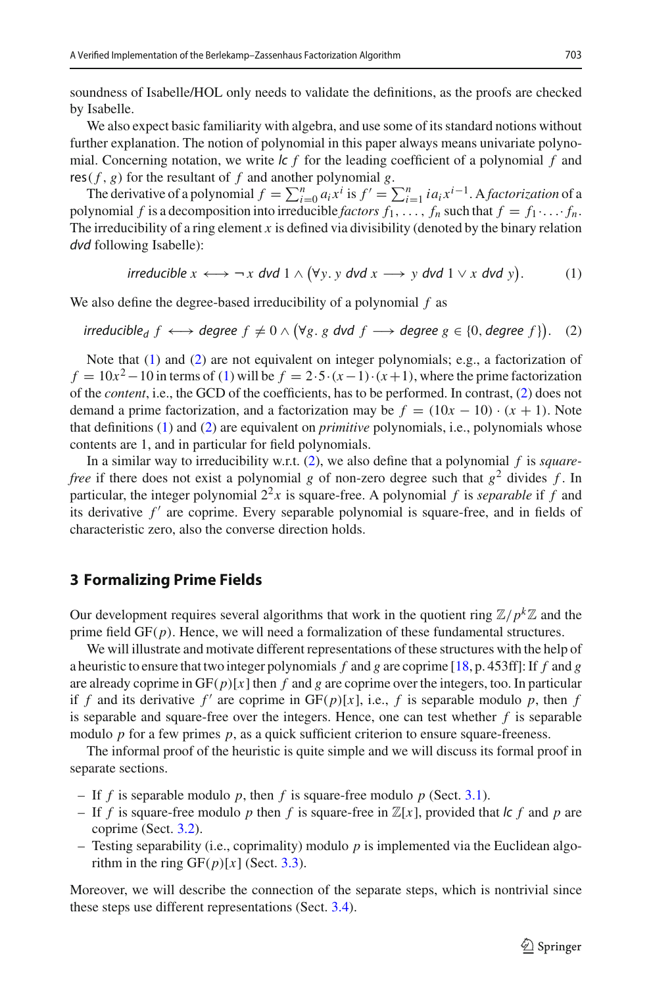soundness of Isabelle/HOL only needs to validate the definitions, as the proofs are checked by Isabelle.

We also expect basic familiarity with algebra, and use some of its standard notions without further explanation. The notion of polynomial in this paper always means univariate polynomial. Concerning notation, we write lc *f* for the leading coefficient of a polynomial *f* and res( $f$ ,  $g$ ) for the resultant of  $f$  and another polynomial  $g$ .

The derivative of a polynomial  $f = \sum_{i=0}^{n} a_i x^i$  is  $f' = \sum_{i=1}^{n} i a_i x^{i-1}$ . A *factorization* of a polynomial *f* is a decomposition into irreducible *factors*  $f_1, \ldots, f_n$  such that  $f = f_1 \cdot \ldots \cdot f_n$ . The irreducibility of a ring element *x* is defined via divisibility (denoted by the binary relation dvd following Isabelle):

> <span id="page-4-1"></span> $\mathsf{irreducible}\ x \longleftrightarrow \neg\ x\ \mathsf{dvd}\ 1 \wedge (\forall\, y.\ y\ \mathsf{dvd}\ x \longrightarrow y\ \mathsf{dvd}\ 1 \vee x\ \mathsf{dvd}\ y)$ . (1)

<span id="page-4-2"></span>We also define the degree-based irreducibility of a polynomial *f* as

irreducible<sub>d</sub> 
$$
f \longleftrightarrow
$$
 degree  $f \neq 0 \land (\forall g, g \text{ dvd } f \longrightarrow$  degree  $g \in \{0, \text{degree } f\}$ ). (2)

Note that [\(1\)](#page-4-1) and [\(2\)](#page-4-2) are not equivalent on integer polynomials; e.g., a factorization of  $f = 10x^2 - 10$  in terms of [\(1\)](#page-4-1) will be  $f = 2.5 \cdot (x - 1) \cdot (x + 1)$ , where the prime factorization of the *content*, i.e., the GCD of the coefficients, has to be performed. In contrast, [\(2\)](#page-4-2) does not demand a prime factorization, and a factorization may be  $f = (10x - 10) \cdot (x + 1)$ . Note that definitions [\(1\)](#page-4-1) and [\(2\)](#page-4-2) are equivalent on *primitive* polynomials, i.e., polynomials whose contents are 1, and in particular for field polynomials.

In a similar way to irreducibility w.r.t. [\(2\)](#page-4-2), we also define that a polynomial *f* is *squarefree* if there does not exist a polynomial *g* of non-zero degree such that  $g^2$  divides *f*. In particular, the integer polynomial  $2^2x$  is square-free. A polynomial f is *separable* if f and its derivative  $f'$  are coprime. Every separable polynomial is square-free, and in fields of characteristic zero, also the converse direction holds.

## <span id="page-4-0"></span>**3 Formalizing Prime Fields**

Our development requires several algorithms that work in the quotient ring  $\mathbb{Z}/p^k\mathbb{Z}$  and the prime field GF(*p*). Hence, we will need a formalization of these fundamental structures.

We will illustrate and motivate different representations of these structures with the help of a heuristic to ensure that two integer polynomials *f* and *g* are coprime [\[18,](#page-35-4) p. 453ff]: If *f* and *g* are already coprime in  $GF(p)[x]$  then *f* and *g* are coprime over the integers, too. In particular if *f* and its derivative *f'* are coprime in  $GF(p)[x]$ , i.e., *f* is separable modulo *p*, then *f* is separable and square-free over the integers. Hence, one can test whether  $f$  is separable modulo *p* for a few primes *p*, as a quick sufficient criterion to ensure square-freeness.

The informal proof of the heuristic is quite simple and we will discuss its formal proof in separate sections.

- If *f* is separable modulo *p*, then *f* is square-free modulo *p* (Sect. [3.1\)](#page-5-0).
- If *f* is square-free modulo *p* then *f* is square-free in  $\mathbb{Z}[x]$ , provided that *lc f* and *p* are coprime (Sect. [3.2\)](#page-6-0).
- Testing separability (i.e., coprimality) modulo *p* is implemented via the Euclidean algorithm in the ring  $GF(p)[x]$  (Sect. [3.3\)](#page-8-0).

Moreover, we will describe the connection of the separate steps, which is nontrivial since these steps use different representations (Sect. [3.4\)](#page-10-0).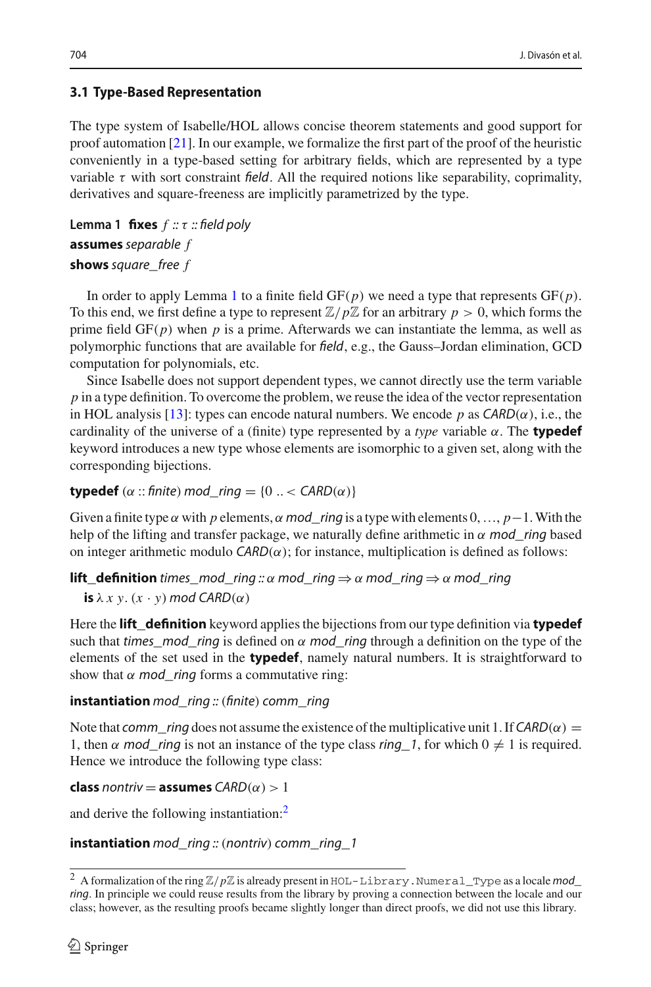# <span id="page-5-0"></span>**3.1 Type-Based Representation**

The type system of Isabelle/HOL allows concise theorem statements and good support for proof automation [\[21\]](#page-35-3). In our example, we formalize the first part of the proof of the heuristic conveniently in a type-based setting for arbitrary fields, which are represented by a type variable  $\tau$  with sort constraint field. All the required notions like separability, coprimality, derivatives and square-freeness are implicitly parametrized by the type.

```
Lemma 1 fixes f :: τ :: field poly
assumes separable f
shows square_free f
```
In order to apply Lemma [1](#page-5-1) to a finite field  $GF(p)$  we need a type that represents  $GF(p)$ . To this end, we first define a type to represent  $\mathbb{Z}/p\mathbb{Z}$  for an arbitrary  $p > 0$ , which forms the prime field  $GF(p)$  when p is a prime. Afterwards we can instantiate the lemma, as well as polymorphic functions that are available for field, e.g., the Gauss–Jordan elimination, GCD computation for polynomials, etc.

Since Isabelle does not support dependent types, we cannot directly use the term variable *p* in a type definition. To overcome the problem, we reuse the idea of the vector representation in HOL analysis [\[13\]](#page-35-10): types can encode natural numbers. We encode p as  $CARD(\alpha)$ , i.e., the cardinality of the universe of a (finite) type represented by a *type* variable  $\alpha$ . The **typedef** keyword introduces a new type whose elements are isomorphic to a given set, along with the corresponding bijections.

#### **typedef** ( $\alpha$  :: finite) mod\_ring = {0 .. < CARD( $\alpha$ )}

Given a finite type  $\alpha$  with *p* elements,  $\alpha$  mod ring is a type with elements  $0, \ldots, p-1$ . With the help of the lifting and transfer package, we naturally define arithmetic in  $\alpha$  mod\_ring based on integer arithmetic modulo  $CARD(\alpha)$ ; for instance, multiplication is defined as follows:

**lift\_definition** times\_mod\_ring :: α mod\_ring  $\Rightarrow$  α mod\_ring  $\Rightarrow$  α mod\_ring

**is**  $\lambda x$  *y*.  $(x \cdot y)$  mod CARD $(\alpha)$ 

Here the **lift\_definition** keyword applies the bijections from our type definition via **typedef** such that times\_mod\_ring is defined on  $\alpha$  mod\_ring through a definition on the type of the elements of the set used in the **typedef**, namely natural numbers. It is straightforward to show that  $\alpha$  mod\_ring forms a commutative ring:

#### **instantiation** mod\_ring :: (finite) comm\_ring

Note that comm ring does not assume the existence of the multiplicative unit 1. If CARD( $\alpha$ ) = 1, then  $\alpha$  mod\_ring is not an instance of the type class ring 1, for which  $0 \neq 1$  is required. Hence we introduce the following type class:

**class** nontriv = **assumes**  $CARD(\alpha) > 1$ 

and derive the following instantiation[:2](#page-5-2)

**instantiation** mod\_ring ::(nontriv) comm\_ring\_1

<span id="page-5-2"></span><sup>&</sup>lt;sup>2</sup> A formalization of the ring  $\mathbb{Z}/p\mathbb{Z}$  is already present in HOL-Library. Numeral\_Type as a locale mod\_ ring. In principle we could reuse results from the library by proving a connection between the locale and our class; however, as the resulting proofs became slightly longer than direct proofs, we did not use this library.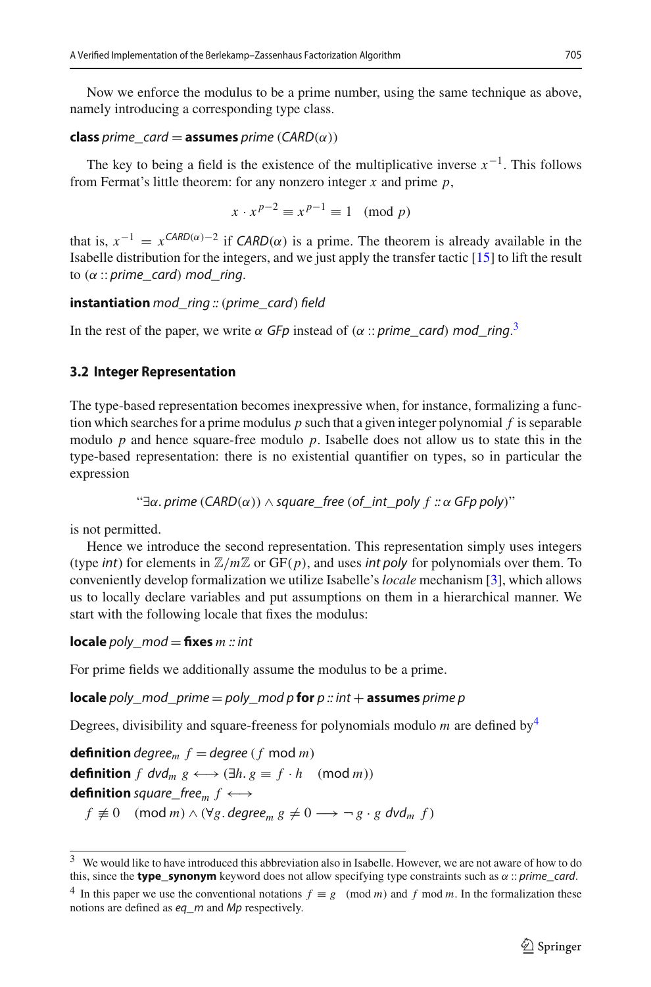Now we enforce the modulus to be a prime number, using the same technique as above, namely introducing a corresponding type class.

#### **class** prime\_card = **assumes** prime (CARD( $\alpha$ ))

The key to being a field is the existence of the multiplicative inverse  $x^{-1}$ . This follows from Fermat's little theorem: for any nonzero integer *x* and prime *p*,

$$
x \cdot x^{p-2} \equiv x^{p-1} \equiv 1 \pmod{p}
$$

that is,  $x^{-1} = x^{\text{CARD}(\alpha)-2}$  if  $\text{CARD}(\alpha)$  is a prime. The theorem is already available in the Isabelle distribution for the integers, and we just apply the transfer tactic [\[15](#page-35-2)] to lift the result to  $(\alpha$  :: prime\_card) mod\_ring.

#### **instantiation** mod\_ring :: (prime\_card) field

In the rest of the paper, we write  $\alpha$  GFp instead of ( $\alpha$  :: prime\_card) mod\_ring.<sup>[3](#page-6-1)</sup>

## <span id="page-6-0"></span>**3.2 Integer Representation**

The type-based representation becomes inexpressive when, for instance, formalizing a function which searches for a prime modulus *p* such that a given integer polynomial *f* is separable modulo *p* and hence square-free modulo *p*. Isabelle does not allow us to state this in the type-based representation: there is no existential quantifier on types, so in particular the expression

" $\exists \alpha$ . prime (CARD( $\alpha$ ))  $\land$  square\_free (of\_int\_poly *f* ::  $\alpha$  GFp poly)"

is not permitted.

Hence we introduce the second representation. This representation simply uses integers (type *int*) for elements in  $\mathbb{Z}/m\mathbb{Z}$  or  $GF(p)$ , and uses *int poly* for polynomials over them. To conveniently develop formalization we utilize Isabelle's *locale* mechanism [\[3](#page-35-11)], which allows us to locally declare variables and put assumptions on them in a hierarchical manner. We start with the following locale that fixes the modulus:

**locale** poly  $mod =$  **fixes**  $m :: int$ 

For prime fields we additionally assume the modulus to be a prime.

**locale** poly\_mod\_prime = poly\_mod p **for**  $p$  :: int + **assumes** prime p

Degrees, divisibility and square-freeness for polynomials modulo *m* are defined by[4](#page-6-2)

**definition** degree<sub>m</sub>  $f = degree(f \mod m)$ **definition**  $f$  dvd<sub>m</sub>  $g \leftrightarrow (\exists h. g \equiv f \cdot h \pmod{m})$ **definition** square\_free<sub>m</sub>  $f \leftrightarrow$  $f \not\equiv 0 \pmod{m} \wedge (\forall g. \text{ degree}_m g \not\equiv 0 \longrightarrow \neg g \cdot g \text{ dvd}_m f)$ 

<span id="page-6-1"></span><sup>3</sup> We would like to have introduced this abbreviation also in Isabelle. However, we are not aware of how to do this, since the **type\_synonym** keyword does not allow specifying type constraints such as  $\alpha$  :: prime\_card.

<span id="page-6-2"></span><sup>&</sup>lt;sup>4</sup> In this paper we use the conventional notations  $f \equiv g \pmod{m}$  and *f* mod *m*. In the formalization these notions are defined as eq\_m and Mp respectively.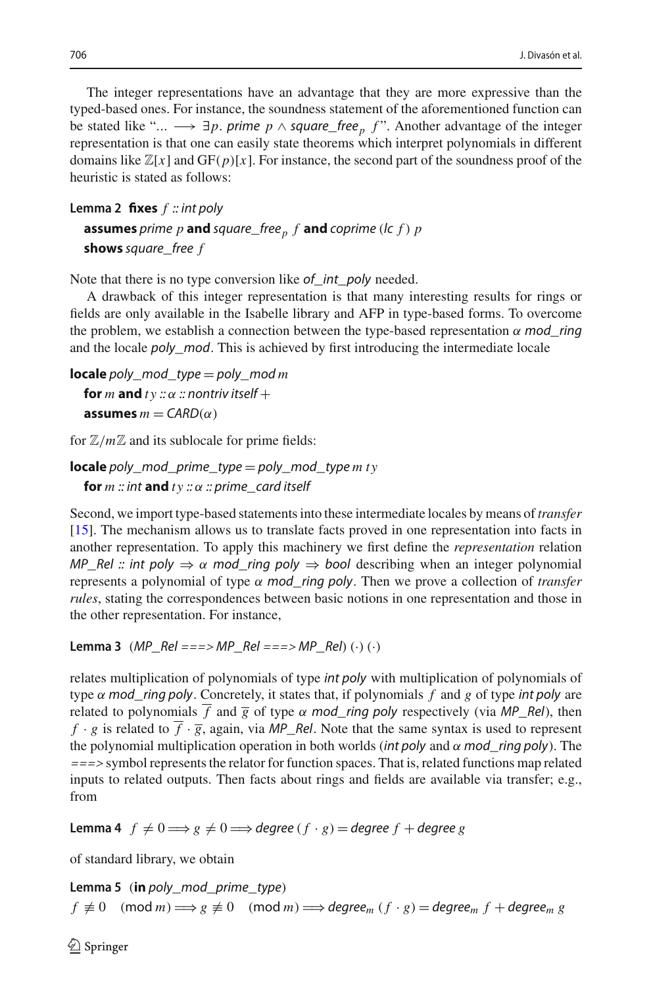The integer representations have an advantage that they are more expressive than the typed-based ones. For instance, the soundness statement of the aforementioned function can be stated like "...  $\longrightarrow \exists p$ . prime  $p \wedge$  square\_free<sub>p</sub> f". Another advantage of the integer representation is that one can easily state theorems which interpret polynomials in different domains like  $\mathbb{Z}[x]$  and  $GF(p)[x]$ . For instance, the second part of the soundness proof of the heuristic is stated as follows:

```
Lemma 2 fixes f :: int poly
  assumes prime p and square_free<sub>p</sub> f and coprime (lc f) pshows square_free f
```
Note that there is no type conversion like of\_int\_poly needed.

A drawback of this integer representation is that many interesting results for rings or fields are only available in the Isabelle library and AFP in type-based forms. To overcome the problem, we establish a connection between the type-based representation  $\alpha$  mod ring and the locale poly\_mod. This is achieved by first introducing the intermediate locale

```
locale poly_mod_type = poly_mod m
  for m and ty :: \alpha :: nontriv itself +
  assumes m = \text{CARD}(\alpha)
```
for  $\mathbb{Z}/m\mathbb{Z}$  and its sublocale for prime fields:

```
locale poly_mod_prime_type = poly_mod_type mty
  for m :: int and ty :: \alpha :: prime_card itself
```
Second, we import type-based statements into these intermediate locales by means of *transfer* [\[15\]](#page-35-2). The mechanism allows us to translate facts proved in one representation into facts in another representation. To apply this machinery we first define the *representation* relation MP\_Rel :: int poly  $\Rightarrow \alpha$  mod\_ring poly  $\Rightarrow$  bool describing when an integer polynomial represents a polynomial of type α mod\_ring poly. Then we prove a collection of *transfer rules*, stating the correspondences between basic notions in one representation and those in the other representation. For instance,

<span id="page-7-1"></span>**Lemma 3** ( $MP_{Re} = 1 = 0$  >  $MP_{Re} = 0$  = = = >  $MP_{Re}$  (·) (·) (·)

relates multiplication of polynomials of type int poly with multiplication of polynomials of type  $\alpha$  mod\_ring poly. Concretely, it states that, if polynomials  $f$  and  $g$  of type int poly are related to polynomials  $\overline{f}$  and  $\overline{g}$  of type  $\alpha$  mod\_ring poly respectively (via MP\_Rel), then  $f \cdot g$  is related to  $\overline{f} \cdot \overline{g}$ , again, via MP\_Rel. Note that the same syntax is used to represent the polynomial multiplication operation in both worlds (int poly and  $\alpha$  mod ring poly). The ===> symbol represents the relator for function spaces. That is, related functions map related inputs to related outputs. Then facts about rings and fields are available via transfer; e.g., from

**Lemma 4**  $f \neq 0 \Longrightarrow g \neq 0 \Longrightarrow$  degree  $(f \cdot g) =$  degree  $f +$  degree  $g$ 

<span id="page-7-0"></span>of standard library, we obtain

**Lemma 5** (**in** poly\_mod\_prime\_type)  $f \not\equiv 0 \pmod{m} \Longrightarrow g \not\equiv 0 \pmod{m} \Longrightarrow \text{degree}_m (f \cdot g) = \text{degree}_m f + \text{degree}_m g$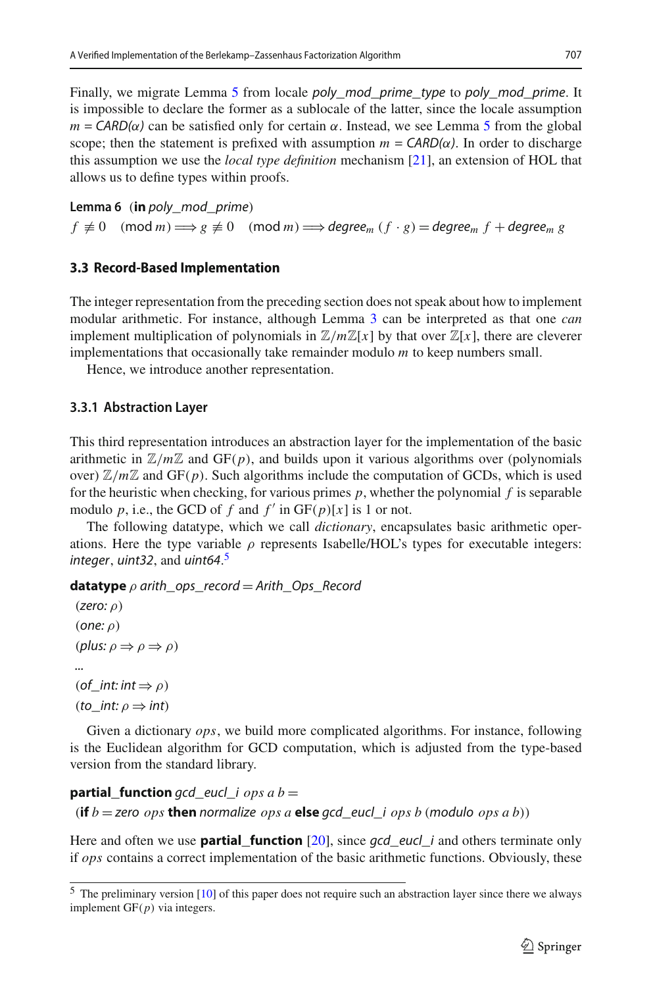Finally, we migrate Lemma [5](#page-7-0) from locale *poly\_mod\_prime\_type* to *poly\_mod\_prime*. It is impossible to declare the former as a sublocale of the latter, since the locale assumption  $m = \text{CAP}(\alpha)$  can be satisfied only for certain  $\alpha$ . Instead, we see Lemma [5](#page-7-0) from the global scope; then the statement is prefixed with assumption  $m = \text{CARD}(\alpha)$ . In order to discharge this assumption we use the *local type definition* mechanism [\[21](#page-35-3)], an extension of HOL that allows us to define types within proofs.

**Lemma 6** (**in** poly\_mod\_prime)  $f \not\equiv 0 \pmod{m} \Longrightarrow g \not\equiv 0 \pmod{m} \Longrightarrow \text{degree}_m (f \cdot g) = \text{degree}_m f + \text{degree}_m g$ 

## <span id="page-8-0"></span>**3.3 Record-Based Implementation**

The integer representation from the preceding section does not speak about how to implement modular arithmetic. For instance, although Lemma [3](#page-7-1) can be interpreted as that one *can* implement multiplication of polynomials in  $\mathbb{Z}/m\mathbb{Z}[x]$  by that over  $\mathbb{Z}[x]$ , there are cleverer implementations that occasionally take remainder modulo *m* to keep numbers small.

Hence, we introduce another representation.

## **3.3.1 Abstraction Layer**

This third representation introduces an abstraction layer for the implementation of the basic arithmetic in  $\mathbb{Z}/m\mathbb{Z}$  and GF(p), and builds upon it various algorithms over (polynomials over)  $\mathbb{Z}/m\mathbb{Z}$  and GF(p). Such algorithms include the computation of GCDs, which is used for the heuristic when checking, for various primes  $p$ , whether the polynomial  $f$  is separable modulo p, i.e., the GCD of f and  $f'$  in  $GF(p)[x]$  is 1 or not.

The following datatype, which we call *dictionary*, encapsulates basic arithmetic operations. Here the type variable  $\rho$  represents Isabelle/HOL's types for executable integers: integer, uint32, and uint64.<sup>[5](#page-8-1)</sup>

**datatype**  $\rho$  arith\_ops\_record = Arith\_Ops\_Record

(zero:  $\rho$ ) (one:  $\rho$ ) (plus:  $\rho \Rightarrow \rho \Rightarrow \rho$ ) ... (of\_int: int  $\Rightarrow$   $\rho$ ) (to int:  $\rho \Rightarrow$  int)

Given a dictionary *ops*, we build more complicated algorithms. For instance, following is the Euclidean algorithm for GCD computation, which is adjusted from the type-based version from the standard library.

## **partial\_function** gcd\_eucl\_i  $ops a b =$

```
(if b = zero ops then normalize ops a else gcd_eucl_i ops b (modulo ops a b))
```
Here and often we use **partial\_function** [\[20\]](#page-35-12), since *qcd\_eucl\_i* and others terminate only if *ops* contains a correct implementation of the basic arithmetic functions. Obviously, these

<span id="page-8-1"></span><sup>5</sup> The preliminary version [\[10\]](#page-35-9) of this paper does not require such an abstraction layer since there we always implement GF(*p*) via integers.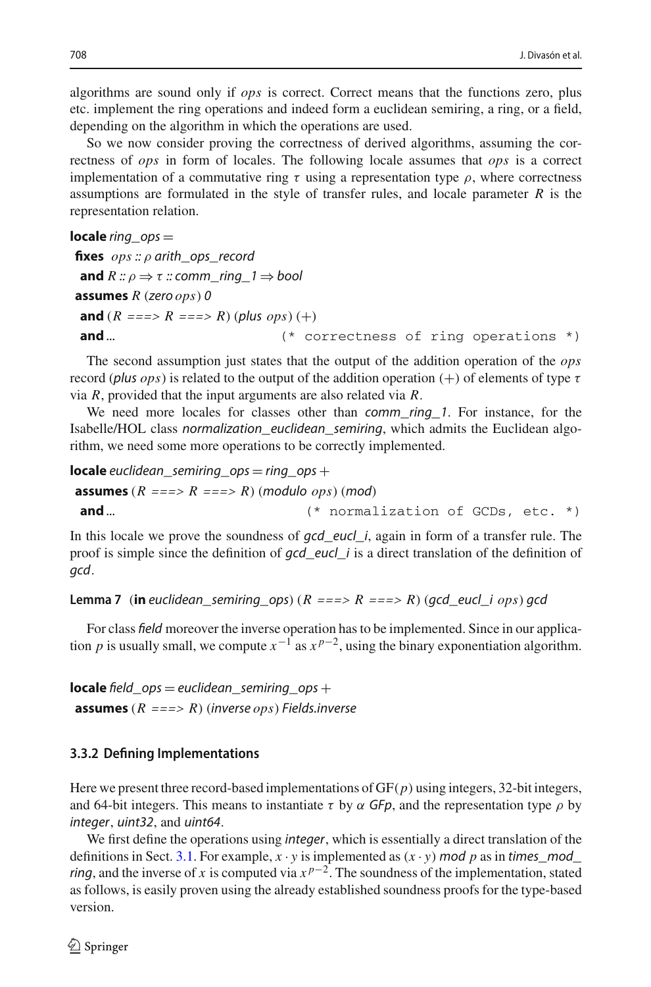algorithms are sound only if *ops* is correct. Correct means that the functions zero, plus etc. implement the ring operations and indeed form a euclidean semiring, a ring, or a field, depending on the algorithm in which the operations are used.

So we now consider proving the correctness of derived algorithms, assuming the correctness of *ops* in form of locales. The following locale assumes that *ops* is a correct implementation of a commutative ring  $\tau$  using a representation type  $\rho$ , where correctness assumptions are formulated in the style of transfer rules, and locale parameter *R* is the representation relation.

**locale** ring\_ops = **fixes** *ops* :: ρ arith\_ops\_record **and**  $R :: \rho \Rightarrow \tau :: comm\_ring\_1 \Rightarrow bool$ **assumes** *R* (zero *ops*) 0 **and**  $(R == > R == > R)$  (plus *ops*) (+) **and** ... (\* correctness of ring operations \*)

The second assumption just states that the output of the addition operation of the *ops* record (plus *ops*) is related to the output of the addition operation  $(+)$  of elements of type  $\tau$ via *R*, provided that the input arguments are also related via *R*.

We need more locales for classes other than *comm\_ring\_1*. For instance, for the Isabelle/HOL class normalization\_euclidean\_semiring, which admits the Euclidean algorithm, we need some more operations to be correctly implemented.

**locale** euclidean\_semiring\_ops = ring\_ops + **assumes**  $(R == > R == > R)$  (modulo *ops*) (mod) **and** ... (\* normalization of GCDs, etc. \*)

In this locale we prove the soundness of  $gcd\_eucl_i$ , again in form of a transfer rule. The proof is simple since the definition of  $gcd$ <sub>eucl</sub><sup>i</sup> is a direct translation of the definition of gcd.

<span id="page-9-0"></span>**Lemma 7** (**in** euclidean semiring ops)  $(R == > R == > R)$  (gcd eucl *i ops*) gcd

For class field moreover the inverse operation has to be implemented. Since in our application *p* is usually small, we compute  $x^{-1}$  as  $x^{p-2}$ , using the binary exponentiation algorithm.

**locale** field\_ops = euclidean\_semiring\_ops + **assumes** (*R* ===> *R*) (inverse *ops*) Fields.inverse

## **3.3.2 Defining Implementations**

Here we present three record-based implementations of GF(*p*) using integers, 32-bit integers, and 64-bit integers. This means to instantiate  $\tau$  by  $\alpha$  GFp, and the representation type  $\rho$  by integer, uint32, and uint64.

We first define the operations using *integer*, which is essentially a direct translation of the definitions in Sect. [3.1.](#page-5-0) For example,  $x \cdot y$  is implemented as  $(x \cdot y)$  mod p as in times\_mod\_ *ring*, and the inverse of *x* is computed via  $x^{p-2}$ . The soundness of the implementation, stated as follows, is easily proven using the already established soundness proofs for the type-based version.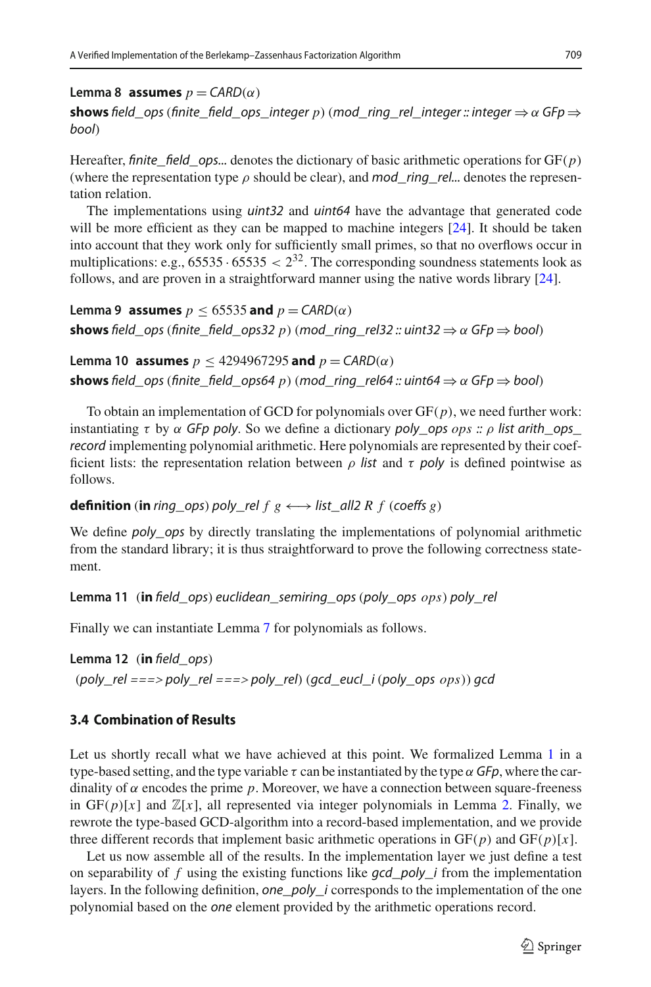**Lemma 8 assumes**  $p = \text{CARD}(\alpha)$ 

**shows** field\_ops (finite\_field\_ops\_integer p) (mod\_ring\_rel\_integer :: integer  $\Rightarrow \alpha$  GFp  $\Rightarrow$ bool)

Hereafter, finite field ops... denotes the dictionary of basic arithmetic operations for  $GF(p)$ (where the representation type  $\rho$  should be clear), and mod ring rel... denotes the representation relation.

The implementations using *uint32* and *uint64* have the advantage that generated code will be more efficient as they can be mapped to machine integers [\[24](#page-36-2)]. It should be taken into account that they work only for sufficiently small primes, so that no overflows occur in multiplications: e.g.,  $65535 \cdot 65535 < 2^{32}$ . The corresponding soundness statements look as follows, and are proven in a straightforward manner using the native words library [\[24\]](#page-36-2).

**Lemma 9 assumes**  $p \le 65535$  **and**  $p = \text{CARD}(\alpha)$ **shows** field\_ops (finite\_field\_ops32 *p*) (mod\_ring\_rel32 :: uint32  $\Rightarrow \alpha$  GFp  $\Rightarrow$  bool)

```
Lemma 10 assumes p < 4294967295 and p = \text{CARD}(\alpha)shows field ops (finite field ops64 p) (mod ring rel64 :: uint64 \Rightarrow α GFp \Rightarrow bool)
```
To obtain an implementation of GCD for polynomials over  $GF(p)$ , we need further work: instantiating  $\tau$  by  $\alpha$  GFp poly. So we define a dictionary poly\_ops *ops* ::  $\rho$  list arith\_ops\_ record implementing polynomial arithmetic. Here polynomials are represented by their coefficient lists: the representation relation between  $\rho$  list and  $\tau$  poly is defined pointwise as follows.

# **definition** (**in** ring\_ops) poly\_rel  $f$   $g \leftrightarrow$  list\_all2  $R$   $f$  (coeffs  $g$ )

We define *poly\_ops* by directly translating the implementations of polynomial arithmetic from the standard library; it is thus straightforward to prove the following correctness statement.

**Lemma 11** (**in** field\_ops) euclidean\_semiring\_ops(poly\_ops *ops*) poly\_rel

Finally we can instantiate Lemma [7](#page-9-0) for polynomials as follows.

**Lemma 12** (**in** field\_ops)  $(poly$ <sub>rel</sub> ===> poly\_rel ===> poly\_rel) (gcd\_eucl\_i(poly\_ops  $ops)$ ) gcd

# <span id="page-10-0"></span>**3.4 Combination of Results**

Let us shortly recall what we have achieved at this point. We formalized Lemma [1](#page-5-1) in a type-based setting, and the type variable  $\tau$  can be instantiated by the type  $\alpha$  GFp, where the cardinality of  $\alpha$  encodes the prime  $p$ . Moreover, we have a connection between square-freeness in  $GF(p)[x]$  and  $\mathbb{Z}[x]$ , all represented via integer polynomials in Lemma [2.](#page-7-2) Finally, we rewrote the type-based GCD-algorithm into a record-based implementation, and we provide three different records that implement basic arithmetic operations in  $GF(p)$  and  $GF(p)[x]$ .

Let us now assemble all of the results. In the implementation layer we just define a test on separability of  $f$  using the existing functions like  $\frac{q}{q}$  poly\_i from the implementation layers. In the following definition, one\_poly\_i corresponds to the implementation of the one polynomial based on the one element provided by the arithmetic operations record.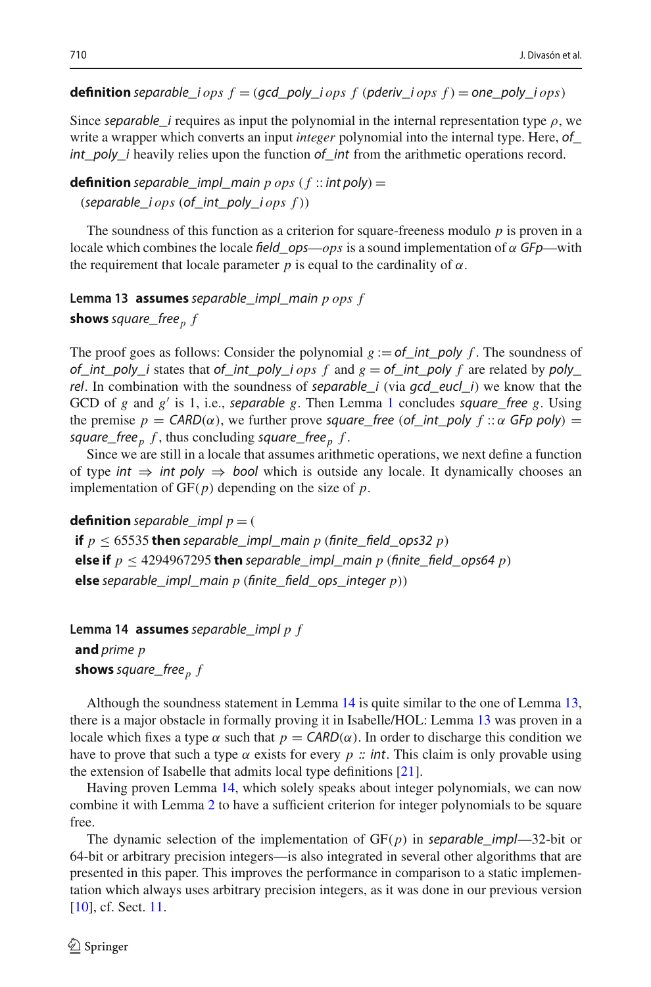## **definition** separable\_i *ops*  $f = (qcd_poly_i)$  *ops*  $f$  (pderiv\_i *ops*  $f$ ) = one\_poly\_i *ops*)

Since separable i requires as input the polynomial in the internal representation type  $\rho$ , we write a wrapper which converts an input *integer* polynomial into the internal type. Here, of  $int\_poly\_i$  heavily relies upon the function  $of\_int$  from the arithmetic operations record.

**definition** separable\_impl\_main  $p \text{ } ops \text{ } (f \text{ }::int poly) =$ (separable\_i *ops* (of\_int\_poly\_i *ops f* ))

The soundness of this function as a criterion for square-freeness modulo *p* is proven in a locale which combines the locale field\_ops— $ops$  is a sound implementation of  $\alpha$  GFp—with the requirement that locale parameter  $p$  is equal to the cardinality of  $\alpha$ .

<span id="page-11-1"></span>**Lemma 13 assumes** separable\_impl\_main *p ops f* **shows** square\_free<sub>p</sub>  $f$ 

The proof goes as follows: Consider the polynomial  $g := of\_int\_poly f$ . The soundness of of\_int\_poly\_i states that of\_int\_poly\_i *ops* f and  $g =$  of\_int\_poly f are related by poly\_ rel. In combination with the soundness of separable  $i$  (via gcd\_eucl\_i) we know that the GCD of *g* and *g* is 1, i.e., separable *g*. Then Lemma [1](#page-5-1) concludes square\_free *g*. Using the premise  $p = \text{CARD}(\alpha)$ , we further prove square\_free (of\_int\_poly  $f :: \alpha$  GFp poly) = square\_free  $<sub>p</sub>$   $f$ , thus concluding square\_free  $<sub>p</sub>$   $f$ .</sub></sub>

Since we are still in a locale that assumes arithmetic operations, we next define a function of type int  $\Rightarrow$  int poly  $\Rightarrow$  bool which is outside any locale. It dynamically chooses an implementation of GF(*p*) depending on the size of *p*.

**definition** separable impl  $p = 0$ 

**if**  $p \leq 65535$  **then** separable\_impl\_main  $p$  (finite\_field\_ops32  $p$ ) **else if**  $p \leq 4294967295$  then separable\_impl\_main p (finite\_field\_ops64 p) **else** separable\_impl\_main *p* (finite\_field\_ops\_integer *p*))

<span id="page-11-0"></span>**Lemma 14 assumes** separable\_impl *p f* **and** prime *p* **shows** square\_free<sub>p</sub>  $f$ 

Although the soundness statement in Lemma [14](#page-11-0) is quite similar to the one of Lemma [13,](#page-11-1) there is a major obstacle in formally proving it in Isabelle/HOL: Lemma [13](#page-11-1) was proven in a locale which fixes a type  $\alpha$  such that  $p = \text{CARD}(\alpha)$ . In order to discharge this condition we have to prove that such a type  $\alpha$  exists for every  $p$  :: int. This claim is only provable using the extension of Isabelle that admits local type definitions [\[21](#page-35-3)].

Having proven Lemma [14,](#page-11-0) which solely speaks about integer polynomials, we can now combine it with Lemma [2](#page-7-2) to have a sufficient criterion for integer polynomials to be square free.

The dynamic selection of the implementation of  $GF(p)$  in separable\_impl—32-bit or 64-bit or arbitrary precision integers—is also integrated in several other algorithms that are presented in this paper. This improves the performance in comparison to a static implementation which always uses arbitrary precision integers, as it was done in our previous version [\[10\]](#page-35-9), cf. Sect. [11.](#page-32-0)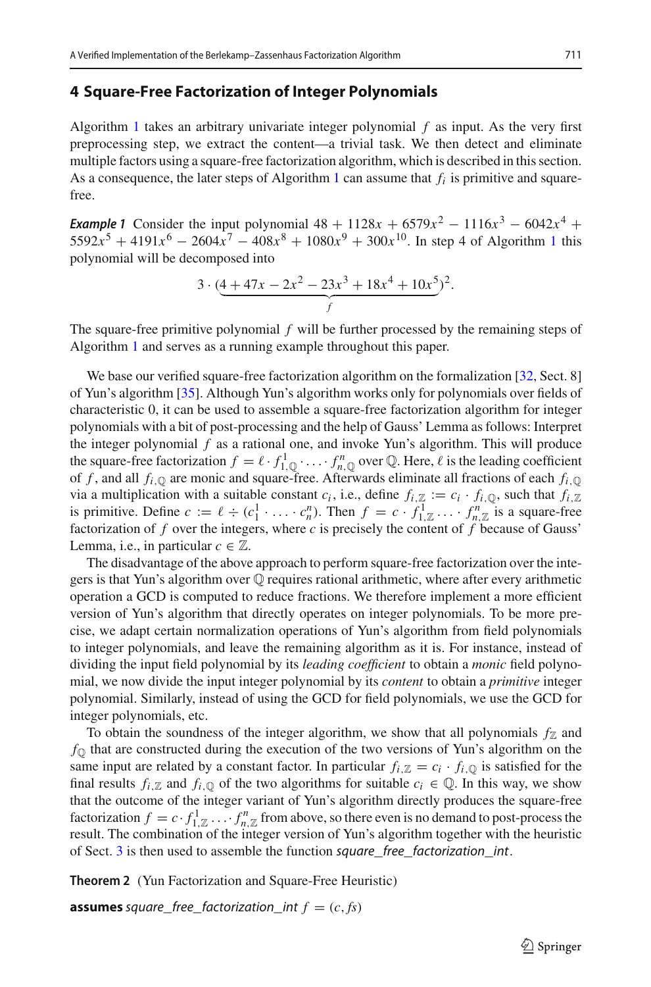#### <span id="page-12-0"></span>**4 Square-Free Factorization of Integer Polynomials**

Algorithm [1](#page-1-0) takes an arbitrary univariate integer polynomial *f* as input. As the very first preprocessing step, we extract the content—a trivial task. We then detect and eliminate multiple factors using a square-free factorization algorithm, which is described in this section. As a consequence, the later steps of Algorithm [1](#page-1-0) can assume that  $f_i$  is primitive and squarefree.

<span id="page-12-1"></span>*Example 1* Consider the input polynomial  $48 + 1128x + 6579x^2 - 1116x^3 - 6042x^4$  + 5592 $x^5 + 4191x^6 - 2604x^7 - 408x^8 + 1080x^9 + 300x^{10}$  $x^5 + 4191x^6 - 2604x^7 - 408x^8 + 1080x^9 + 300x^{10}$  $x^5 + 4191x^6 - 2604x^7 - 408x^8 + 1080x^9 + 300x^{10}$ . In step 4 of Algorithm 1 this polynomial will be decomposed into

$$
3 \cdot \left( \underbrace{4 + 47x - 2x^2 - 23x^3 + 18x^4 + 10x^5}_{f} \right)^2.
$$

The square-free primitive polynomial *f* will be further processed by the remaining steps of Algorithm [1](#page-1-0) and serves as a running example throughout this paper.

We base our verified square-free factorization algorithm on the formalization [\[32](#page-36-3), Sect. 8] of Yun's algorithm [\[35\]](#page-36-4). Although Yun's algorithm works only for polynomials over fields of characteristic 0, it can be used to assemble a square-free factorization algorithm for integer polynomials with a bit of post-processing and the help of Gauss' Lemma as follows: Interpret the integer polynomial *f* as a rational one, and invoke Yun's algorithm. This will produce the square-free factorization  $f = \ell \cdot f_{1,\mathbb{Q}}^1 \cdot \ldots \cdot f_{n,\mathbb{Q}}^n$  over  $\mathbb{Q}$ . Here,  $\ell$  is the leading coefficient of *f*, and all  $f_i$ <sub>, $\odot$ </sub> are monic and square-free. Afterwards eliminate all fractions of each  $f_i$ <sub>, $\odot$ </sub> via a multiplication with a suitable constant  $c_i$ , i.e., define  $f_{i,\mathbb{Z}} := c_i \cdot f_{i,\mathbb{Q}}$ , such that  $f_{i,\mathbb{Z}}$ is primitive. Define  $c := \ell \div (c_1^1 \cdot \ldots \cdot c_n^n)$ . Then  $f = c \cdot f_{1,\mathbb{Z}}^1 \ldots \cdot f_{n,\mathbb{Z}}^n$  is a square-free factorization of  $f$  over the integers, where  $c$  is precisely the content of  $f$  because of Gauss' Lemma, i.e., in particular  $c \in \mathbb{Z}$ .

The disadvantage of the above approach to perform square-free factorization over the integers is that Yun's algorithm over  $\mathbb Q$  requires rational arithmetic, where after every arithmetic operation a GCD is computed to reduce fractions. We therefore implement a more efficient version of Yun's algorithm that directly operates on integer polynomials. To be more precise, we adapt certain normalization operations of Yun's algorithm from field polynomials to integer polynomials, and leave the remaining algorithm as it is. For instance, instead of dividing the input field polynomial by its *leading coefficient* to obtain a *monic* field polynomial, we now divide the input integer polynomial by its *content* to obtain a *primitive* integer polynomial. Similarly, instead of using the GCD for field polynomials, we use the GCD for integer polynomials, etc.

To obtain the soundness of the integer algorithm, we show that all polynomials  $f_Z$  and *f*Q that are constructed during the execution of the two versions of Yun's algorithm on the same input are related by a constant factor. In particular  $f_i z = c_i \cdot f_i \circ \mathfrak{g}$  is satisfied for the final results  $f_i \text{ and } f_i \text{, so if the two algorithms for suitable } c_i \in \mathbb{Q}$ . In this way, we show that the outcome of the integer variant of Yun's algorithm directly produces the square-free factorization  $f = c \cdot f_{1,\mathbb{Z}}^1 \dots f_{n,\mathbb{Z}}^n$  from above, so there even is no demand to post-process the result. The combination of the integer version of Yun's algorithm together with the heuristic of Sect. [3](#page-4-0) is then used to assemble the function square\_free\_factorization\_int.

**Theorem 2** (Yun Factorization and Square-Free Heuristic)

**assumes** square\_free\_factorization\_int  $f = (c, fs)$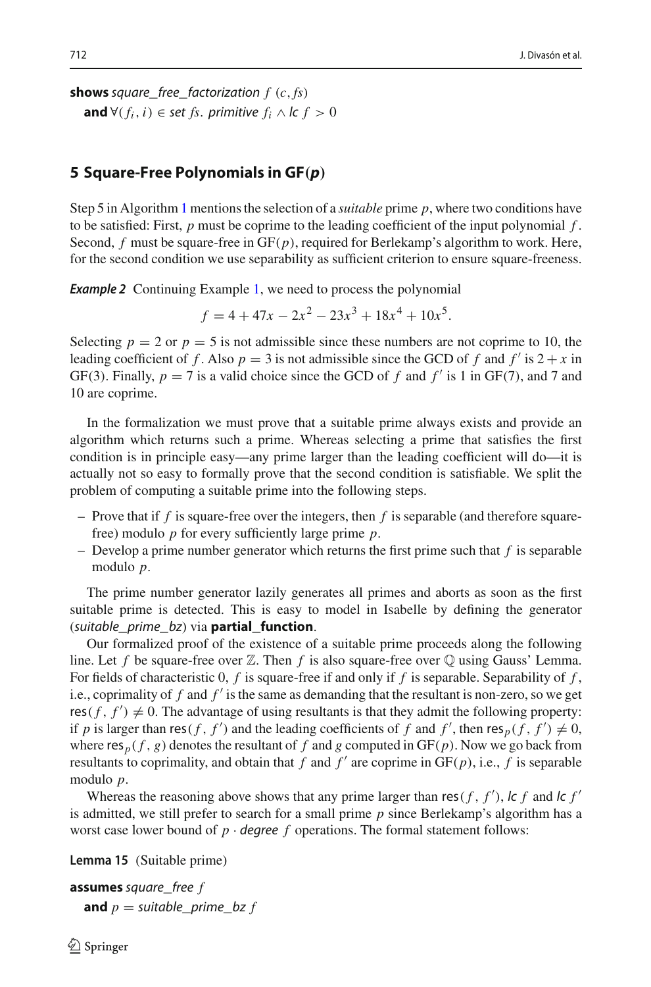**shows** square free factorization  $f$  ( $c$ ,  $fs$ ) **and** ∀( $f_i$ ,  $i$ ) ∈ set  $f$ s. primitive  $f_i \wedge$  lc  $f > 0$ 

# <span id="page-13-0"></span>**5 Square-Free Polynomials in GF***(p)*

Step 5 in Algorithm [1](#page-1-0) mentions the selection of a *suitable* prime *p*, where two conditions have to be satisfied: First, *p* must be coprime to the leading coefficient of the input polynomial *f* . Second, *f* must be square-free in GF(*p*), required for Berlekamp's algorithm to work. Here, for the second condition we use separability as sufficient criterion to ensure square-freeness.

<span id="page-13-1"></span>**Example 2** Continuing Example [1,](#page-12-1) we need to process the polynomial

 $f = 4 + 47x - 2x^{2} - 23x^{3} + 18x^{4} + 10x^{5}$ .

Selecting  $p = 2$  or  $p = 5$  is not admissible since these numbers are not coprime to 10, the leading coefficient of f. Also  $p = 3$  is not admissible since the GCD of f and f' is  $2 + x$  in GF(3). Finally,  $p = 7$  is a valid choice since the GCD of f and f' is 1 in GF(7), and 7 and 10 are coprime.

In the formalization we must prove that a suitable prime always exists and provide an algorithm which returns such a prime. Whereas selecting a prime that satisfies the first condition is in principle easy—any prime larger than the leading coefficient will do—it is actually not so easy to formally prove that the second condition is satisfiable. We split the problem of computing a suitable prime into the following steps.

- Prove that if *f* is square-free over the integers, then *f* is separable (and therefore squarefree) modulo *p* for every sufficiently large prime *p*.
- Develop a prime number generator which returns the first prime such that *f* is separable modulo *p*.

The prime number generator lazily generates all primes and aborts as soon as the first suitable prime is detected. This is easy to model in Isabelle by defining the generator (suitable\_prime\_bz) via **partial\_function**.

Our formalized proof of the existence of a suitable prime proceeds along the following line. Let f be square-free over  $\mathbb Z$ . Then f is also square-free over  $\mathbb Q$  using Gauss' Lemma. For fields of characteristic 0, *f* is square-free if and only if *f* is separable. Separability of *f* , i.e., coprimality of *f* and *f* is the same as demanding that the resultant is non-zero, so we get  $res(f, f') \neq 0$ . The advantage of using resultants is that they admit the following property: if *p* is larger than res(*f*, *f'*) and the leading coefficients of *f* and *f'*, then res<sub>*p*</sub>(*f*, *f'*)  $\neq$  0, where  $res_p(f, g)$  denotes the resultant of  $f$  and  $g$  computed in  $GF(p)$ . Now we go back from resultants to coprimality, and obtain that *f* and  $f'$  are coprime in  $GF(p)$ , i.e., *f* is separable modulo *p*.

Whereas the reasoning above shows that any prime larger than res( $f$ ,  $f'$ ), lc  $f$  and lc  $f'$ is admitted, we still prefer to search for a small prime *p* since Berlekamp's algorithm has a worst case lower bound of  $p \cdot$  degree  $f$  operations. The formal statement follows:

**Lemma 15** (Suitable prime)

**assumes** square\_free *f* **and**  $p =$  suitable\_prime\_bz  $f$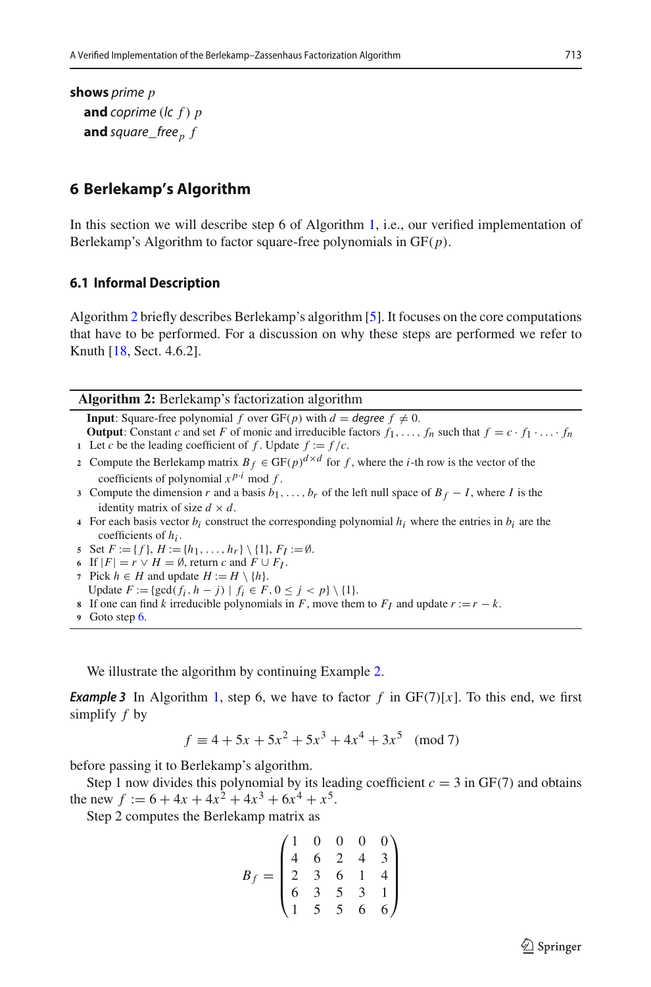**shows** prime *p* **and** coprime (lc *f* ) *p* **and** square\_free<sub>p</sub>  $f$ 

# <span id="page-14-0"></span>**6 Berlekamp's Algorithm**

In this section we will describe step 6 of Algorithm [1,](#page-1-0) i.e., our verified implementation of Berlekamp's Algorithm to factor square-free polynomials in GF(*p*).

#### **6.1 Informal Description**

Algorithm [2](#page-14-1) briefly describes Berlekamp's algorithm [\[5](#page-35-0)]. It focuses on the core computations that have to be performed. For a discussion on why these steps are performed we refer to Knuth [\[18,](#page-35-4) Sect. 4.6.2].

**Algorithm 2:** Berlekamp's factorization algorithm

<span id="page-14-1"></span>**Input**: Square-free polynomial *f* over  $GF(p)$  with  $d = \text{degree } f \neq 0$ .

**Output:** Constant *c* and set *F* of monic and irreducible factors  $f_1, \ldots, f_n$  such that  $f = c \cdot f_1 \cdot \ldots \cdot f_n$ **1** Let *c* be the leading coefficient of *f*. Update  $f := f/c$ .

- **2** Compute the Berlekamp matrix  $B_f \in GF(p)^{d \times d}$  for f, where the *i*-th row is the vector of the coefficients of polynomial  $x^{p \tcdot i}$  mod  $f$ .
- **3** Compute the dimension *r* and a basis  $b_1, \ldots, b_r$  of the left null space of  $B_f I$ , where *I* is the identity matrix of size  $d \times d$ .
- **4** For each basis vector  $b_i$  construct the corresponding polynomial  $h_i$  where the entries in  $b_i$  are the coefficients of *hi* .

<span id="page-14-2"></span>**5** Set  $F := \{f\}, H := \{h_1, \ldots, h_r\} \setminus \{1\}, F_I := \emptyset.$ 

- **6** If  $|F| = r \vee H = \emptyset$ , return *c* and  $F \cup F_I$ .
- **7** Pick *h* ∈ *H* and update  $H := H \setminus \{h\}.$
- Update  $F := \{ \gcd(f_i, h j) \mid f_i \in F, 0 \le j < p \} \setminus \{1\}.$
- **8** If one can find *k* irreducible polynomials in *F*, move them to  $F_I$  and update  $r := r k$ .

<span id="page-14-3"></span>We illustrate the algorithm by continuing Example [2.](#page-13-1)

**Example 3** In Algorithm [1,](#page-1-0) step 6, we have to factor f in  $GF(7)[x]$ . To this end, we first simplify *f* by

$$
f \equiv 4 + 5x + 5x^2 + 5x^3 + 4x^4 + 3x^5 \pmod{7}
$$

before passing it to Berlekamp's algorithm.

Step 1 now divides this polynomial by its leading coefficient  $c = 3$  in GF(7) and obtains the new  $f := 6 + 4x + 4x^2 + 4x^3 + 6x^4 + x^5$ .

Step 2 computes the Berlekamp matrix as

$$
B_f = \begin{pmatrix} 1 & 0 & 0 & 0 & 0 \\ 4 & 6 & 2 & 4 & 3 \\ 2 & 3 & 6 & 1 & 4 \\ 6 & 3 & 5 & 3 & 1 \\ 1 & 5 & 5 & 6 & 6 \end{pmatrix}
$$

**<sup>9</sup>** Goto step [6.](#page-14-2)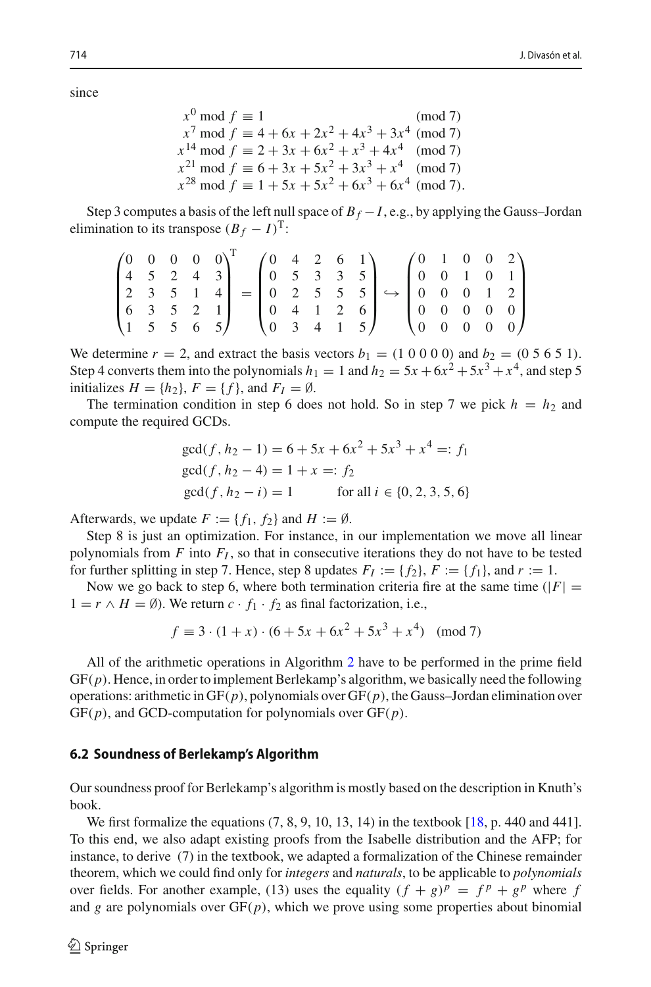since

 $x^0 \mod f \equiv 1$  (mod 7)  $x^7 \mod f \equiv 4 + 6x + 2x^2 + 4x^3 + 3x^4 \pmod{7}$  $x^{14} \text{ mod } f \equiv 2 + 3x + 6x^2 + x^3 + 4x^4 \pmod{7}$  $x^{21}$  mod  $f \equiv 6 + 3x + 5x^2 + 3x^3 + x^4$  (mod 7)  $x^{28}$  mod  $f \equiv 1 + 5x + 5x^2 + 6x^3 + 6x^4 \pmod{7}$ .

Step 3 computes a basis of the left null space of  $B_f - I$ , e.g., by applying the Gauss–Jordan elimination to its transpose  $(B_f - I)^T$ :

$$
\begin{pmatrix} 0 & 0 & 0 & 0 & 0 \\ 4 & 5 & 2 & 4 & 3 \\ 2 & 3 & 5 & 1 & 4 \\ 6 & 3 & 5 & 2 & 1 \\ 1 & 5 & 5 & 6 & 5 \end{pmatrix}^T = \begin{pmatrix} 0 & 4 & 2 & 6 & 1 \\ 0 & 5 & 3 & 3 & 5 \\ 0 & 2 & 5 & 5 & 5 \\ 0 & 4 & 1 & 2 & 6 \\ 0 & 3 & 4 & 1 & 5 \end{pmatrix} \hookrightarrow \begin{pmatrix} 0 & 1 & 0 & 0 & 2 \\ 0 & 0 & 1 & 0 & 1 \\ 0 & 0 & 0 & 1 & 2 \\ 0 & 0 & 0 & 0 & 0 \\ 0 & 0 & 0 & 0 & 0 \end{pmatrix}
$$

We determine  $r = 2$ , and extract the basis vectors  $b_1 = (1\ 0\ 0\ 0\ 0)$  and  $b_2 = (0\ 5\ 6\ 5\ 1)$ . Step 4 converts them into the polynomials  $h_1 = 1$  and  $h_2 = 5x + 6x^2 + 5x^3 + x^4$ , and step 5 initializes  $H = \{h_2\}$ ,  $F = \{f\}$ , and  $F_I = \emptyset$ .

The termination condition in step 6 does not hold. So in step 7 we pick  $h = h_2$  and compute the required GCDs.

$$
gcd(f, h_2 - 1) = 6 + 5x + 6x^2 + 5x^3 + x^4 =: f_1
$$
  
\n
$$
gcd(f, h_2 - 4) = 1 + x =: f_2
$$
  
\n
$$
gcd(f, h_2 - i) = 1
$$
 for all  $i \in \{0, 2, 3, 5, 6\}$ 

Afterwards, we update  $F := \{f_1, f_2\}$  and  $H := \emptyset$ .

Step 8 is just an optimization. For instance, in our implementation we move all linear polynomials from  $F$  into  $F_I$ , so that in consecutive iterations they do not have to be tested for further splitting in step 7. Hence, step 8 updates  $F_I := \{f_2\}$ ,  $F := \{f_1\}$ , and  $r := 1$ .

Now we go back to step 6, where both termination criteria fire at the same time ( $|F|$  =  $1 = r \wedge H = \emptyset$ ). We return  $c \cdot f_1 \cdot f_2$  as final factorization, i.e.,

$$
f \equiv 3 \cdot (1 + x) \cdot (6 + 5x + 6x^2 + 5x^3 + x^4) \pmod{7}
$$

All of the arithmetic operations in Algorithm [2](#page-14-1) have to be performed in the prime field GF(*p*). Hence, in order to implement Berlekamp's algorithm, we basically need the following operations: arithmetic in GF(*p*), polynomials over GF(*p*), the Gauss–Jordan elimination over GF(*p*), and GCD-computation for polynomials over GF(*p*).

#### **6.2 Soundness of Berlekamp's Algorithm**

Our soundness proof for Berlekamp's algorithm is mostly based on the description in Knuth's book.

We first formalize the equations (7, 8, 9, 10, 13, 14) in the textbook [\[18,](#page-35-4) p. 440 and 441]. To this end, we also adapt existing proofs from the Isabelle distribution and the AFP; for instance, to derive (7) in the textbook, we adapted a formalization of the Chinese remainder theorem, which we could find only for *integers* and *naturals*, to be applicable to *polynomials* over fields. For another example, (13) uses the equality  $(f + g)^p = f^p + g^p$  where *f* and *g* are polynomials over  $GF(p)$ , which we prove using some properties about binomial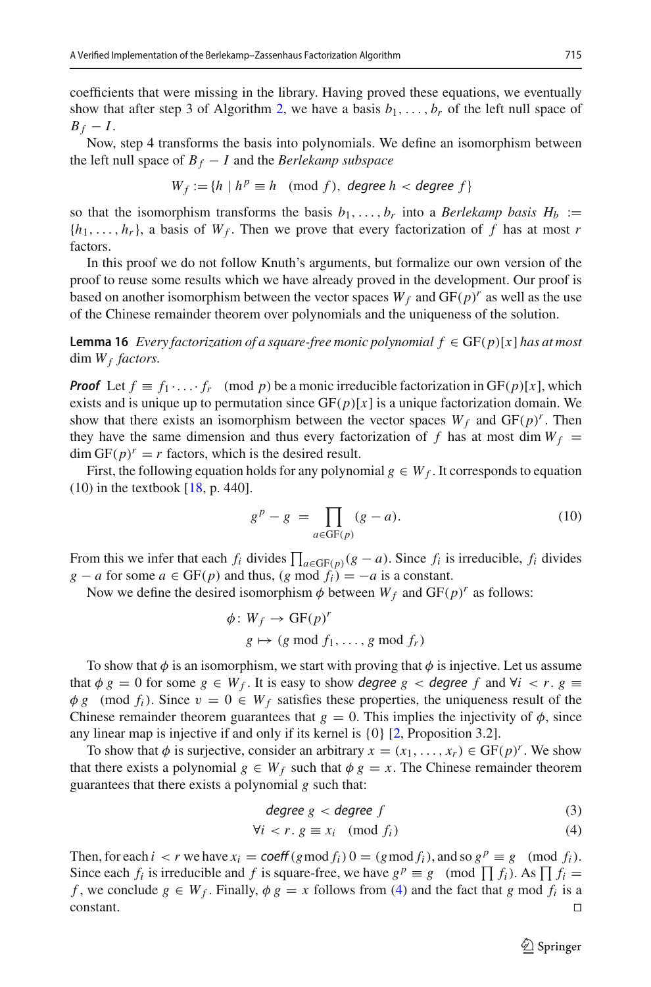coefficients that were missing in the library. Having proved these equations, we eventually show that after step 3 of Algorithm [2,](#page-14-1) we have a basis  $b_1, \ldots, b_r$  of the left null space of  $B_f - I$ .

Now, step 4 transforms the basis into polynomials. We define an isomorphism between the left null space of  $B_f - I$  and the *Berlekamp subspace* 

$$
W_f := \{ h \mid h^p \equiv h \pmod{f}, \text{ degree } h < \text{degree } f \}
$$

so that the isomorphism transforms the basis  $b_1, \ldots, b_r$  into a *Berlekamp basis*  $H_b :=$  $\{h_1, \ldots, h_r\}$ , a basis of  $W_f$ . Then we prove that every factorization of f has at most r factors.

In this proof we do not follow Knuth's arguments, but formalize our own version of the proof to reuse some results which we have already proved in the development. Our proof is based on another isomorphism between the vector spaces  $W_f$  and  $GF(p)^r$  as well as the use of the Chinese remainder theorem over polynomials and the uniqueness of the solution.

**Lemma 16** *Every factorization of a square-free monic polynomial*  $f$  ∈ GF( $p$ )[ $x$ ] *has at most*  $\dim W_f$  *factors.* 

*Proof* Let  $f \equiv f_1 \cdot \ldots \cdot f_r \pmod{p}$  be a monic irreducible factorization in GF(p)[*x*], which exists and is unique up to permutation since  $GF(p)[x]$  is a unique factorization domain. We show that there exists an isomorphism between the vector spaces  $W_f$  and  $GF(p)^r$ . Then they have the same dimension and thus every factorization of f has at most dim  $W_f$  =  $\dim GF(p)^r = r$  factors, which is the desired result.

First, the following equation holds for any polynomial  $g \in W_f$ . It corresponds to equation  $(10)$  in the textbook [\[18,](#page-35-4) p. 440].

$$
gp - g = \prod_{a \in \text{GF}(p)} (g - a).
$$
 (10)

From this we infer that each  $f_i$  divides  $\prod_{a \in \text{GF}(p)}(g - a)$ . Since  $f_i$  is irreducible,  $f_i$  divides *g* − *a* for some  $a \in GF(p)$  and thus,  $(g \mod f_i) = -a$  is a constant.

Now we define the desired isomorphism  $\phi$  between  $W_f$  and  $GF(p)^r$  as follows:

$$
\phi: W_f \to \mathrm{GF}(p)^r
$$
  
 
$$
g \mapsto (g \bmod f_1, \ldots, g \bmod f_r)
$$

To show that  $\phi$  is an isomorphism, we start with proving that  $\phi$  is injective. Let us assume that  $\phi g = 0$  for some  $g \in W_f$ . It is easy to show degree  $g <$  degree  $f$  and  $\forall i < r$ .  $g \equiv$  $\phi$  *g* (mod  $f_i$ ). Since  $v = 0 \in W_f$  satisfies these properties, the uniqueness result of the Chinese remainder theorem guarantees that  $g = 0$ . This implies the injectivity of  $\phi$ , since any linear map is injective if and only if its kernel is {0} [\[2](#page-35-13), Proposition 3.2].

To show that  $\phi$  is surjective, consider an arbitrary  $x = (x_1, \ldots, x_r) \in GF(p)^r$ . We show that there exists a polynomial  $g \in W_f$  such that  $\phi g = x$ . The Chinese remainder theorem guarantees that there exists a polynomial *g* such that:

<span id="page-16-0"></span>
$$
degree\ g < degree\ f \tag{3}
$$

$$
\forall i < r \, g \equiv x_i \pmod{f_i} \tag{4}
$$

Then, for each  $i < r$  we have  $x_i = \text{coeff}(g \mod f_i)$   $0 = (g \mod f_i)$ , and so  $g^p \equiv g \pmod{f_i}$ . Since each  $f_i$  is irreducible and  $f$  is square-free, we have  $g^p \equiv g \pmod{\prod f_i}$ . As  $\prod f_i =$ *f*, we conclude  $g \in W_f$ . Finally,  $\phi g = x$  follows from [\(4\)](#page-16-0) and the fact that *g* mod  $f_i$  is a constant.  $\Box$ constant.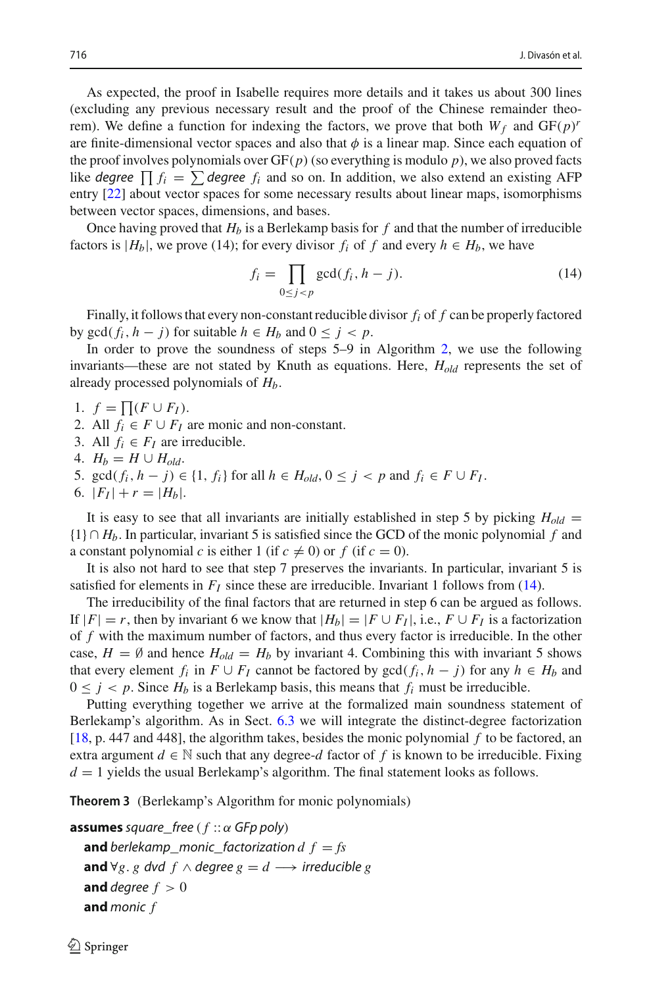As expected, the proof in Isabelle requires more details and it takes us about 300 lines (excluding any previous necessary result and the proof of the Chinese remainder theorem). We define a function for indexing the factors, we prove that both  $W_f$  and  $GF(p)$ <sup>*r*</sup> are finite-dimensional vector spaces and also that  $\phi$  is a linear map. Since each equation of the proof involves polynomials over  $GF(p)$  (so everything is modulo *p*), we also proved facts like *degree*  $\prod f_i = \sum$  *degree*  $f_i$  and so on. In addition, we also extend an existing AFP entry [\[22\]](#page-35-14) about vector spaces for some necessary results about linear maps, isomorphisms between vector spaces, dimensions, and bases.

Once having proved that  $H_b$  is a Berlekamp basis for f and that the number of irreducible factors is  $|H_b|$ , we prove (14); for every divisor  $f_i$  of  $f$  and every  $h \in H_b$ , we have

<span id="page-17-0"></span>
$$
f_i = \prod_{0 \le j < p} \gcd(f_i, h - j). \tag{14}
$$

Finally, it follows that every non-constant reducible divisor *fi* of *f* can be properly factored by  $gcd(f_i, h - j)$  for suitable  $h \in H_b$  and  $0 \leq j \leq p$ .

In order to prove the soundness of steps 5–9 in Algorithm [2,](#page-14-1) we use the following invariants—these are not stated by Knuth as equations. Here, *Hold* represents the set of already processed polynomials of *Hb*.

1.  $f = \prod (F \cup F_I).$ 

- 2. All  $f_i \in F \cup F_I$  are monic and non-constant.
- 3. All  $f_i \in F_I$  are irreducible.
- 4.  $H_b = H \cup H_{old}$ .
- 5. gcd( $f_i$ ,  $h j$ ) ∈ {1,  $f_i$ } for all  $h \in H_{old}$ ,  $0 \le j < p$  and  $f_i \in F \cup F_I$ .
- 6.  $|F_I| + r = |H_b|$ .

It is easy to see that all invariants are initially established in step 5 by picking  $H_{old}$  = {1} ∩ *Hb*. In particular, invariant 5 is satisfied since the GCD of the monic polynomial *f* and a constant polynomial *c* is either 1 (if  $c \neq 0$ ) or *f* (if  $c = 0$ ).

It is also not hard to see that step 7 preserves the invariants. In particular, invariant 5 is satisfied for elements in  $F_I$  since these are irreducible. Invariant 1 follows from [\(14\)](#page-17-0).

The irreducibility of the final factors that are returned in step 6 can be argued as follows. If  $|F| = r$ , then by invariant 6 we know that  $|H_b| = |F \cup F_I|$ , i.e.,  $F \cup F_I$  is a factorization of *f* with the maximum number of factors, and thus every factor is irreducible. In the other case,  $H = \emptyset$  and hence  $H_{old} = H_b$  by invariant 4. Combining this with invariant 5 shows that every element  $f_i$  in  $F \cup F_I$  cannot be factored by  $gcd(f_i, h - j)$  for any  $h \in H_b$  and  $0 \le j < p$ . Since  $H_b$  is a Berlekamp basis, this means that  $f_i$  must be irreducible.

Putting everything together we arrive at the formalized main soundness statement of Berlekamp's algorithm. As in Sect. [6.3](#page-18-0) we will integrate the distinct-degree factorization [\[18,](#page-35-4) p. 447 and 448], the algorithm takes, besides the monic polynomial *f* to be factored, an extra argument  $d \in \mathbb{N}$  such that any degree- $d$  factor of  $f$  is known to be irreducible. Fixing  $d = 1$  yields the usual Berlekamp's algorithm. The final statement looks as follows.

**Theorem 3** (Berlekamp's Algorithm for monic polynomials)

```
assumes square_free ( f :: α GFp poly)
  and berlekamp monic factorization d f = fsand ∀g. g dvd f ∧ degree g = d \rightarrow irreducible g
  and degree f > 0and monic f
```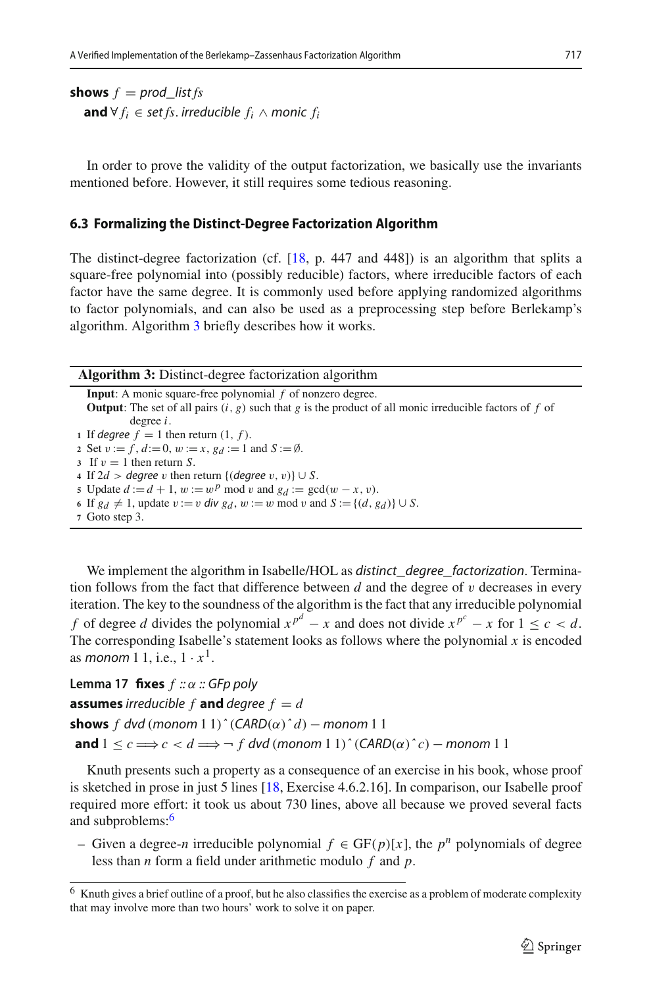**shows**  $f = prod$  list  $fs$ **and** ∀  $f_i$  ∈ set  $fs$ . irreducible  $f_i$  ∧ monic  $f_i$ 

In order to prove the validity of the output factorization, we basically use the invariants mentioned before. However, it still requires some tedious reasoning.

#### <span id="page-18-0"></span>**6.3 Formalizing the Distinct-Degree Factorization Algorithm**

The distinct-degree factorization (cf.  $[18, p. 447 \text{ and } 448]$  $[18, p. 447 \text{ and } 448]$ ) is an algorithm that splits a square-free polynomial into (possibly reducible) factors, where irreducible factors of each factor have the same degree. It is commonly used before applying randomized algorithms to factor polynomials, and can also be used as a preprocessing step before Berlekamp's algorithm. Algorithm [3](#page-18-1) briefly describes how it works.

**Algorithm 3:** Distinct-degree factorization algorithm

<span id="page-18-1"></span>**Input**: A monic square-free polynomial *f* of nonzero degree. **Output**: The set of all pairs  $(i, g)$  such that g is the product of all monic irreducible factors of f of degree *i*. **1** If degree  $f = 1$  then return  $(1, f)$ . 2 Set  $v := f$ ,  $d := 0$ ,  $w := x$ ,  $g_d := 1$  and  $S := \emptyset$ . **3** If  $v = 1$  then return *S*. **4** If 2*d* > *degree v* then return {(*degree v*, *v*)} ∪ *S*. **5** Update  $d := d + 1$ ,  $w := w^p \mod{v}$  and  $g_d := \gcd(w - x, v)$ . **6** If *g<sub>d</sub>*  $\neq$  1, update *v* := *v* div *g<sub>d</sub>*, *w* := *w* mod *v* and *S* := {(*d*, *g<sub>d</sub>*)} ∪ *S*.

**<sup>7</sup>** Goto step 3.

We implement the algorithm in Isabelle/HOL as distinct\_degree\_factorization. Termination follows from the fact that difference between *d* and the degree of v decreases in every iteration. The key to the soundness of the algorithm is the fact that any irreducible polynomial *f* of degree *d* divides the polynomial  $x^{p^d} - x$  and does not divide  $x^{p^c} - x$  for  $1 \le c < d$ . The corresponding Isabelle's statement looks as follows where the polynomial  $x$  is encoded as *monom* 1 1, i.e.,  $1 \cdot x^1$ .

**Lemma 17 fixes** *f* :: α :: GFp poly **assumes** irreducible  $f$  **and** degree  $f = d$ **shows** *f* dvd (monom 1 1)  $\hat{C}(ARD(\alpha)^{\wedge} d)$  – monom 1 1 **and**  $1 \leq c \implies c \leq d \implies f dvd$  (monom  $1 \leq 1$ )^ (CARD( $\alpha$ ) ^ c) – monom 1 1

Knuth presents such a property as a consequence of an exercise in his book, whose proof is sketched in prose in just 5 lines [\[18,](#page-35-4) Exercise 4.6.2.16]. In comparison, our Isabelle proof required more effort: it took us about 730 lines, above all because we proved several facts and subproblems:<sup>[6](#page-18-2)</sup>

– Given a degree-*<sup>n</sup>* irreducible polynomial *<sup>f</sup>* <sup>∈</sup> GF(*p*)[*x*], the *<sup>p</sup><sup>n</sup>* polynomials of degree less than *n* form a field under arithmetic modulo *f* and *p*.

<span id="page-18-2"></span><sup>&</sup>lt;sup>6</sup> Knuth gives a brief outline of a proof, but he also classifies the exercise as a problem of moderate complexity that may involve more than two hours' work to solve it on paper.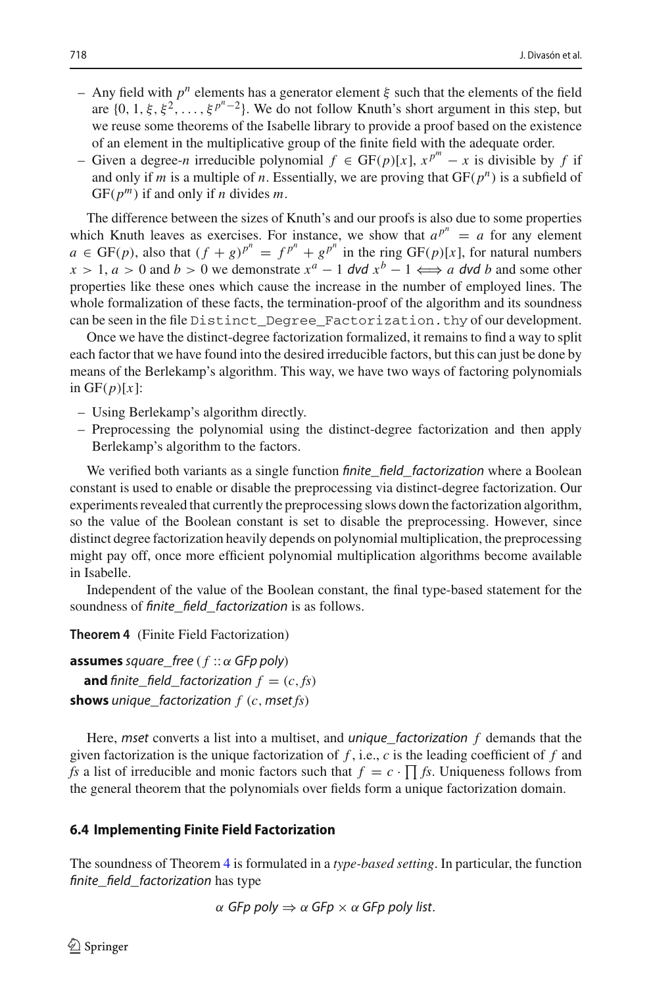- Any field with *p<sup>n</sup>* elements has a generator element ξ such that the elements of the field are  $\{0, 1, \xi, \xi^2, \ldots, \xi^{p^n-2}\}\)$ . We do not follow Knuth's short argument in this step, but we reuse some theorems of the Isabelle library to provide a proof based on the existence of an element in the multiplicative group of the finite field with the adequate order.
- − Given a degree-*n* irreducible polynomial  $f \text{ ∈ } GF(p)[x]$ ,  $x^{p^m} x$  is divisible by *f* if and only if *m* is a multiple of *n*. Essentially, we are proving that  $GF(p^n)$  is a subfield of GF(*pm*) if and only if *n* divides *m*.

The difference between the sizes of Knuth's and our proofs is also due to some properties which Knuth leaves as exercises. For instance, we show that  $a^{p^n} = a$  for any element  $a \in \text{GF}(p)$ , also that  $(f + g)^{p^n} = f^{p^n} + g^{p^n}$  in the ring  $\text{GF}(p)[x]$ , for natural numbers  $x > 1$ ,  $a > 0$  and  $b > 0$  we demonstrate  $x^a - 1$  dvd  $x^b - 1 \iff a$  dvd *b* and some other properties like these ones which cause the increase in the number of employed lines. The whole formalization of these facts, the termination-proof of the algorithm and its soundness can be seen in the file Distinct Degree Factorization.thy of our development.

Once we have the distinct-degree factorization formalized, it remains to find a way to split each factor that we have found into the desired irreducible factors, but this can just be done by means of the Berlekamp's algorithm. This way, we have two ways of factoring polynomials in  $GF(p)[x]$ :

- Using Berlekamp's algorithm directly.
- Preprocessing the polynomial using the distinct-degree factorization and then apply Berlekamp's algorithm to the factors.

We verified both variants as a single function *finite\_field\_factorization* where a Boolean constant is used to enable or disable the preprocessing via distinct-degree factorization. Our experiments revealed that currently the preprocessing slows down the factorization algorithm, so the value of the Boolean constant is set to disable the preprocessing. However, since distinct degree factorization heavily depends on polynomial multiplication, the preprocessing might pay off, once more efficient polynomial multiplication algorithms become available in Isabelle.

<span id="page-19-0"></span>Independent of the value of the Boolean constant, the final type-based statement for the soundness of finite field factorization is as follows.

**Theorem 4** (Finite Field Factorization)

**assumes** square free ( $f :: \alpha$  GFp poly) **and** finite\_field\_factorization  $f = (c, fs)$ **shows** unique\_factorization *f* (*c*, mset *fs*)

Here, mset converts a list into a multiset, and unique\_factorization *f* demands that the given factorization is the unique factorization of *f* , i.e., *c* is the leading coefficient of *f* and *fs* a list of irreducible and monic factors such that  $f = c \cdot \prod f$ s. Uniqueness follows from the general theorem that the polynomials over fields form a unique factorization domain.

#### **6.4 Implementing Finite Field Factorization**

The soundness of Theorem [4](#page-19-0) is formulated in a *type-based setting*. In particular, the function finite\_field\_factorization has type

$$
\alpha \text{ GFp poly} \Rightarrow \alpha \text{ GFp} \times \alpha \text{ GFp poly list}.
$$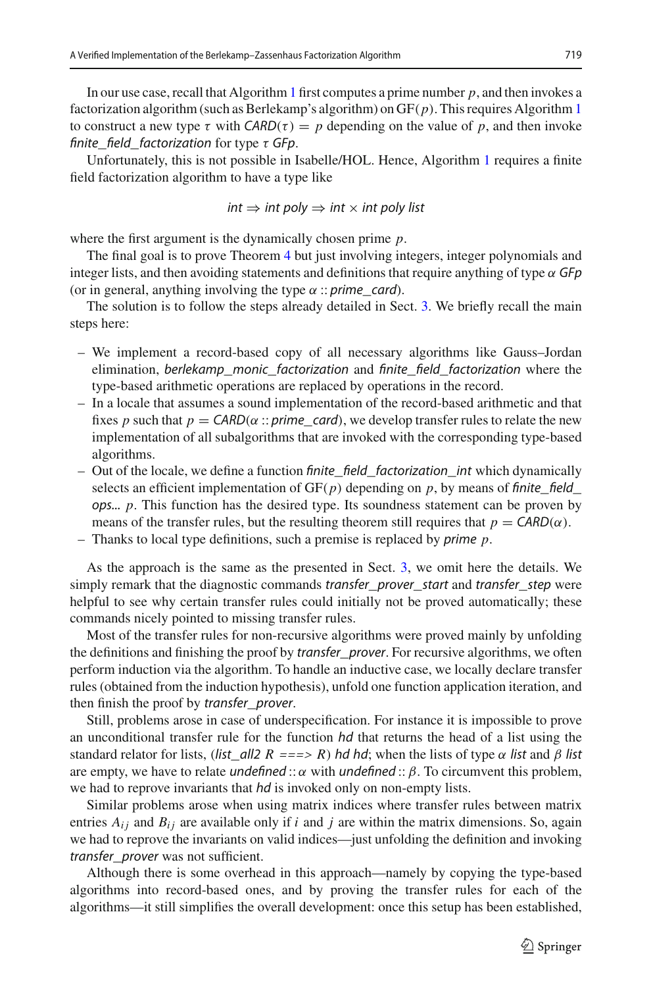In our use case, recall that Algorithm [1](#page-1-0) first computes a prime number *p*, and then invokes a factorization algorithm (such as Berlekamp's algorithm) on GF(*p*). This requires Algorithm [1](#page-1-0) to construct a new type  $\tau$  with  $CARD(\tau) = p$  depending on the value of p, and then invoke finite field factorization for type  $\tau$  GFp.

Unfortunately, this is not possible in Isabelle/HOL. Hence, Algorithm [1](#page-1-0) requires a finite field factorization algorithm to have a type like

$$
int \Rightarrow int \text{ poly} \Rightarrow int \times int \text{ poly list}
$$

where the first argument is the dynamically chosen prime *p*.

The final goal is to prove Theorem [4](#page-19-0) but just involving integers, integer polynomials and integer lists, and then avoiding statements and definitions that require anything of type  $\alpha$  GFp (or in general, anything involving the type  $\alpha$  :: prime\_card).

The solution is to follow the steps already detailed in Sect. [3.](#page-4-0) We briefly recall the main steps here:

- We implement a record-based copy of all necessary algorithms like Gauss–Jordan elimination, berlekamp\_monic\_factorization and finite\_field\_factorization where the type-based arithmetic operations are replaced by operations in the record.
- In a locale that assumes a sound implementation of the record-based arithmetic and that fixes *p* such that  $p = \text{CARD}(\alpha :: prime\_card)$ , we develop transfer rules to relate the new implementation of all subalgorithms that are invoked with the corresponding type-based algorithms.
- Out of the locale, we define a function finite\_field\_factorization\_int which dynamically selects an efficient implementation of  $GF(p)$  depending on p, by means of finite field ops... *p*. This function has the desired type. Its soundness statement can be proven by means of the transfer rules, but the resulting theorem still requires that  $p = \text{CARD}(\alpha)$ .
- Thanks to local type definitions, such a premise is replaced by prime *p*.

As the approach is the same as the presented in Sect. [3,](#page-4-0) we omit here the details. We simply remark that the diagnostic commands transfer\_prover\_start and transfer\_step were helpful to see why certain transfer rules could initially not be proved automatically; these commands nicely pointed to missing transfer rules.

Most of the transfer rules for non-recursive algorithms were proved mainly by unfolding the definitions and finishing the proof by *transfer\_prover*. For recursive algorithms, we often perform induction via the algorithm. To handle an inductive case, we locally declare transfer rules (obtained from the induction hypothesis), unfold one function application iteration, and then finish the proof by transfer\_prover.

Still, problems arose in case of underspecification. For instance it is impossible to prove an unconditional transfer rule for the function  $hd$  that returns the head of a list using the standard relator for lists, (list\_all2  $R == > R$ ) hd hd; when the lists of type  $\alpha$  list and  $\beta$  list are empty, we have to relate *undefined* ::  $\alpha$  with *undefined* ::  $\beta$ . To circumvent this problem, we had to reprove invariants that *hd* is invoked only on non-empty lists.

Similar problems arose when using matrix indices where transfer rules between matrix entries  $A_{ij}$  and  $B_{ij}$  are available only if *i* and *j* are within the matrix dimensions. So, again we had to reprove the invariants on valid indices—just unfolding the definition and invoking transfer\_prover was not sufficient.

Although there is some overhead in this approach—namely by copying the type-based algorithms into record-based ones, and by proving the transfer rules for each of the algorithms—it still simplifies the overall development: once this setup has been established,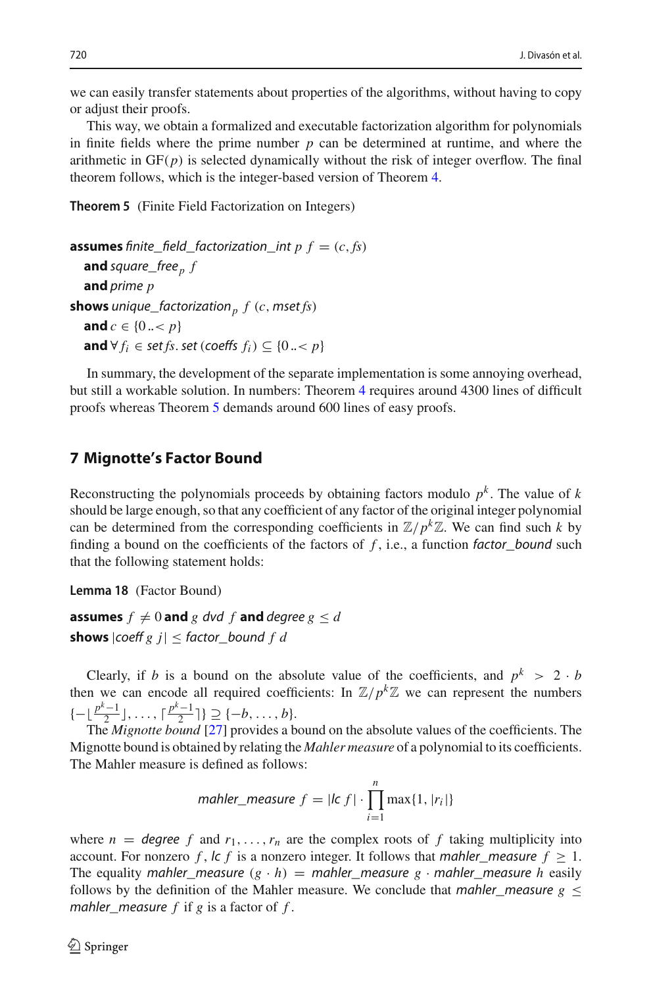we can easily transfer statements about properties of the algorithms, without having to copy or adjust their proofs.

This way, we obtain a formalized and executable factorization algorithm for polynomials in finite fields where the prime number *p* can be determined at runtime, and where the arithmetic in  $GF(p)$  is selected dynamically without the risk of integer overflow. The final theorem follows, which is the integer-based version of Theorem [4.](#page-19-0)

<span id="page-21-1"></span>**Theorem 5** (Finite Field Factorization on Integers)

```
assumes finite_field_factorization_int p f = (c, fs)and square_free<sub>p</sub> fand prime p
shows unique_factorization<sub>p</sub> f(c, mset/s)and c \in \{0 \ldots < p\}and ∀ f_i ∈ set fs. set (coeffs f_i) ⊆ {0 ..< p}
```
In summary, the development of the separate implementation is some annoying overhead, but still a workable solution. In numbers: Theorem [4](#page-19-0) requires around 4300 lines of difficult proofs whereas Theorem [5](#page-21-1) demands around 600 lines of easy proofs.

## <span id="page-21-0"></span>**7 Mignotte's Factor Bound**

Reconstructing the polynomials proceeds by obtaining factors modulo  $p<sup>k</sup>$ . The value of  $k$ should be large enough, so that any coefficient of any factor of the original integer polynomial can be determined from the corresponding coefficients in  $\mathbb{Z}/p^k\mathbb{Z}$ . We can find such *k* by finding a bound on the coefficients of the factors of  $f$ , i.e., a function factor\_bound such that the following statement holds:

<span id="page-21-2"></span>**Lemma 18** (Factor Bound)

**assumes**  $f \neq 0$  and  $g$  dvd  $f$  and degree  $g \leq d$ **shows**  $|coeff g j| \leq factor\_bound f d$ 

Clearly, if *b* is a bound on the absolute value of the coefficients, and  $p^k > 2 \cdot b$ then we can encode all required coefficients: In  $\mathbb{Z}/p^k\mathbb{Z}$  we can represent the numbers { $- \lfloor \frac{p^k - 1}{2} \rfloor, ..., \lceil \frac{p^k - 1}{2} \rceil$ } ⊇ {-*b*,...,*b*}.

The *Mignotte bound* [\[27](#page-36-9)] provides a bound on the absolute values of the coefficients. The Mignotte bound is obtained by relating the *Mahler measure* of a polynomial to its coefficients. The Mahler measure is defined as follows:

$$
mahler\_measure f = |lc f| \cdot \prod_{i=1}^{n} \max\{1, |r_i|\}
$$

where  $n = \text{degree } f$  and  $r_1, \ldots, r_n$  are the complex roots of  $f$  taking multiplicity into account. For nonzero *f*,  $\vert c \vert f \vert$  is a nonzero integer. It follows that *mahler\_measure*  $f \geq 1$ . The equality mahler\_measure  $(g \cdot h)$  = mahler\_measure  $g \cdot$  mahler\_measure *h* easily follows by the definition of the Mahler measure. We conclude that *mahler\_measure*  $g \leq$ mahler\_measure *f* if *g* is a factor of *f* .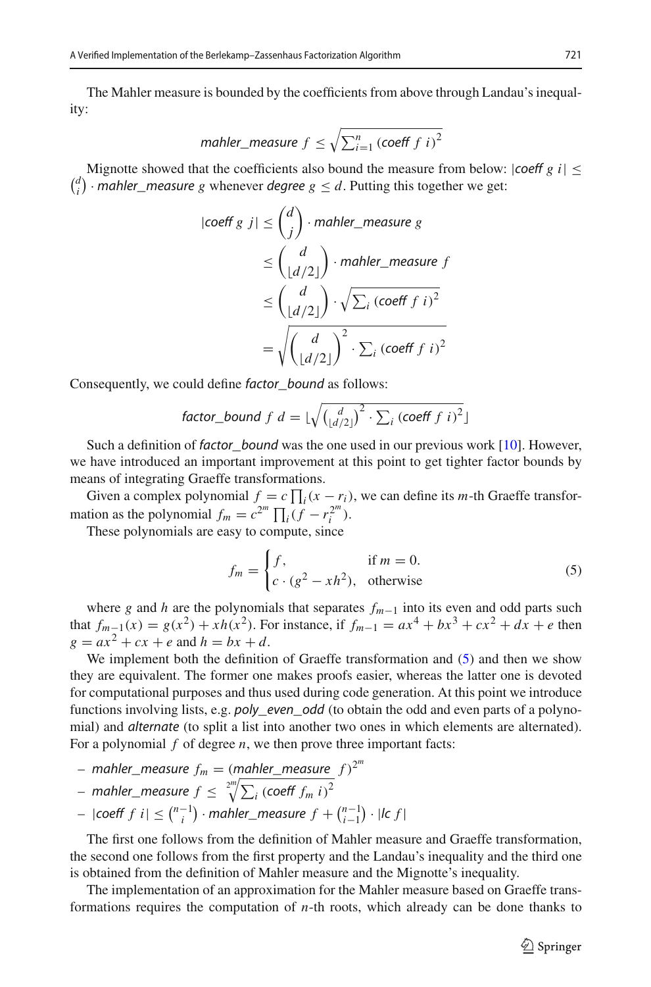The Mahler measure is bounded by the coefficients from above through Landau's inequality:

$$
mather\_measure f \leq \sqrt{\sum_{i=1}^{n} (\text{coeff } f \ i)^2}
$$

Mignotte showed that the coefficients also bound the measure from below:  $|coeff g i| \leq$  $\binom{d}{i}$  · *mahler\_measure g* whenever *degree g*  $\leq d$ . Putting this together we get:

$$
|\text{coeff } g \text{ } j| \le \binom{d}{j} \cdot \text{mahler\_measure } g
$$
  
\n
$$
\le \binom{d}{\lfloor d/2 \rfloor} \cdot \text{mahler\_measure } f
$$
  
\n
$$
\le \binom{d}{\lfloor d/2 \rfloor} \cdot \sqrt{\sum_i (\text{coeff } f \text{ } i)^2}
$$
  
\n
$$
= \sqrt{\binom{d}{\lfloor d/2 \rfloor}}^2 \cdot \sum_i (\text{coeff } f \text{ } i)^2
$$

Consequently, we could define *factor* bound as follows:

factor\_bound f d = 
$$
\lfloor \sqrt{\binom{d}{\lfloor d/2 \rfloor}^2 \cdot \sum_i (\text{coeff } f \ i)^2} \rfloor
$$

Such a definition of *factor* bound was the one used in our previous work  $[10]$  $[10]$ . However, we have introduced an important improvement at this point to get tighter factor bounds by means of integrating Graeffe transformations.

Given a complex polynomial  $f = c \prod_i (x - r_i)$ , we can define its *m*-th Graeffe transformation as the polynomial  $f_m = c^{2^m} \prod_i (f - r_i^{2^m})$ .

These polynomials are easy to compute, since

<span id="page-22-0"></span>
$$
f_m = \begin{cases} f, & \text{if } m = 0. \\ c \cdot (g^2 - xh^2), & \text{otherwise} \end{cases}
$$
 (5)

where *g* and *h* are the polynomials that separates *fm*−<sup>1</sup> into its even and odd parts such that  $f_{m-1}(x) = g(x^2) + xh(x^2)$ . For instance, if  $f_{m-1} = ax^4 + bx^3 + cx^2 + dx + e$  then  $g = ax^2 + cx + e$  and  $h = bx + d$ .

We implement both the definition of Graeffe transformation and [\(5\)](#page-22-0) and then we show they are equivalent. The former one makes proofs easier, whereas the latter one is devoted for computational purposes and thus used during code generation. At this point we introduce functions involving lists, e.g. *poly\_even\_odd* (to obtain the odd and even parts of a polynomial) and alternate (to split a list into another two ones in which elements are alternated). For a polynomial *f* of degree *n*, we then prove three important facts:

- $-$  mahler\_measure  $f_m = (m_\text{minler\_measure} f)^{2^m}$
- $-$  mahler\_measure  $f \leq \sqrt[2^{m}]{\sum_i\left(\text{coeff }f_m\ i\right)^2}$
- $-$  |coeff *f* i | ≤  $\binom{n-1}{i}$  · mahler\_measure  $f + \binom{n-1}{i-1}$  · |lc *f* |

The first one follows from the definition of Mahler measure and Graeffe transformation, the second one follows from the first property and the Landau's inequality and the third one is obtained from the definition of Mahler measure and the Mignotte's inequality.

The implementation of an approximation for the Mahler measure based on Graeffe transformations requires the computation of *n*-th roots, which already can be done thanks to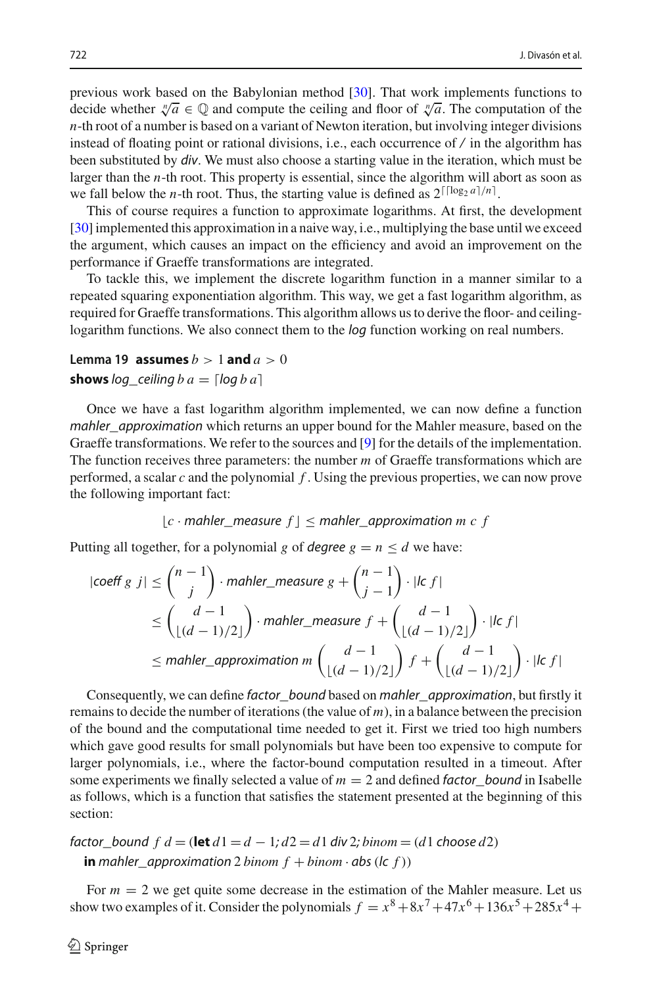previous work based on the Babylonian method [\[30](#page-36-10)]. That work implements functions to decide whether  $\sqrt[n]{a} \in \mathbb{Q}$  and compute the ceiling and floor of  $\sqrt[n]{a}$ . The computation of the *n*-th root of a number is based on a variant of Newton iteration, but involving integer divisions instead of floating point or rational divisions, i.e., each occurrence of  $\ell$  in the algorithm has been substituted by div. We must also choose a starting value in the iteration, which must be larger than the *n*-th root. This property is essential, since the algorithm will abort as soon as we fall below the *n*-th root. Thus, the starting value is defined as  $2^{\lceil \lceil \log_2 a \rceil / n}$ .

This of course requires a function to approximate logarithms. At first, the development [\[30\]](#page-36-10) implemented this approximation in a naive way, i.e., multiplying the base until we exceed the argument, which causes an impact on the efficiency and avoid an improvement on the performance if Graeffe transformations are integrated.

To tackle this, we implement the discrete logarithm function in a manner similar to a repeated squaring exponentiation algorithm. This way, we get a fast logarithm algorithm, as required for Graeffe transformations. This algorithm allows us to derive the floor- and ceilinglogarithm functions. We also connect them to the *log* function working on real numbers.

# Lemma 19 **assumes**  $b > 1$  **and**  $a > 0$

## **shows**  $log$  *ceiling*  $b$   $a =$   $\lceil log b a \rceil$

Once we have a fast logarithm algorithm implemented, we can now define a function mahler approximation which returns an upper bound for the Mahler measure, based on the Graeffe transformations. We refer to the sources and [\[9\]](#page-35-15) for the details of the implementation. The function receives three parameters: the number *m* of Graeffe transformations which are performed, a scalar *c* and the polynomial *f* . Using the previous properties, we can now prove the following important fact:

$$
\lfloor c \cdot \text{mahler\_measure } f \rfloor \leq \text{mahler\_approximation } m \ c \ f
$$

Putting all together, for a polynomial *g* of *degree*  $g = n \le d$  we have:

$$
|\text{coeff } g | j| \le {n-1 \choose j} \cdot \text{mahler\_measure } g + {n-1 \choose j-1} \cdot |lc f|
$$
  
\n
$$
\le {d-1 \choose \lfloor (d-1)/2 \rfloor} \cdot \text{mahler\_measure } f + {d-1 \choose \lfloor (d-1)/2 \rfloor} \cdot |lc f|
$$
  
\n
$$
\leq \text{mahler\_approximation } m {d-1 \choose \lfloor (d-1)/2 \rfloor} f + {d-1 \choose \lfloor (d-1)/2 \rfloor} \cdot |lc f|
$$

Consequently, we can define factor bound based on mahler approximation, but firstly it remains to decide the number of iterations (the value of *m*), in a balance between the precision of the bound and the computational time needed to get it. First we tried too high numbers which gave good results for small polynomials but have been too expensive to compute for larger polynomials, i.e., where the factor-bound computation resulted in a timeout. After some experiments we finally selected a value of  $m = 2$  and defined factor\_bound in Isabelle as follows, which is a function that satisfies the statement presented at the beginning of this section:

*factor\_bound f d* = (**let**  $d1 = d - 1$ ;  $d2 = d1$  div 2;  $binom = (d1$  choose  $d2$ ) **in** mahler\_approximation 2 *binom*  $f + binom \cdot abs(lc f)$ )

For  $m = 2$  we get quite some decrease in the estimation of the Mahler measure. Let us show two examples of it. Consider the polynomials  $f = x^8 + 8x^7 + 47x^6 + 136x^5 + 285x^4 +$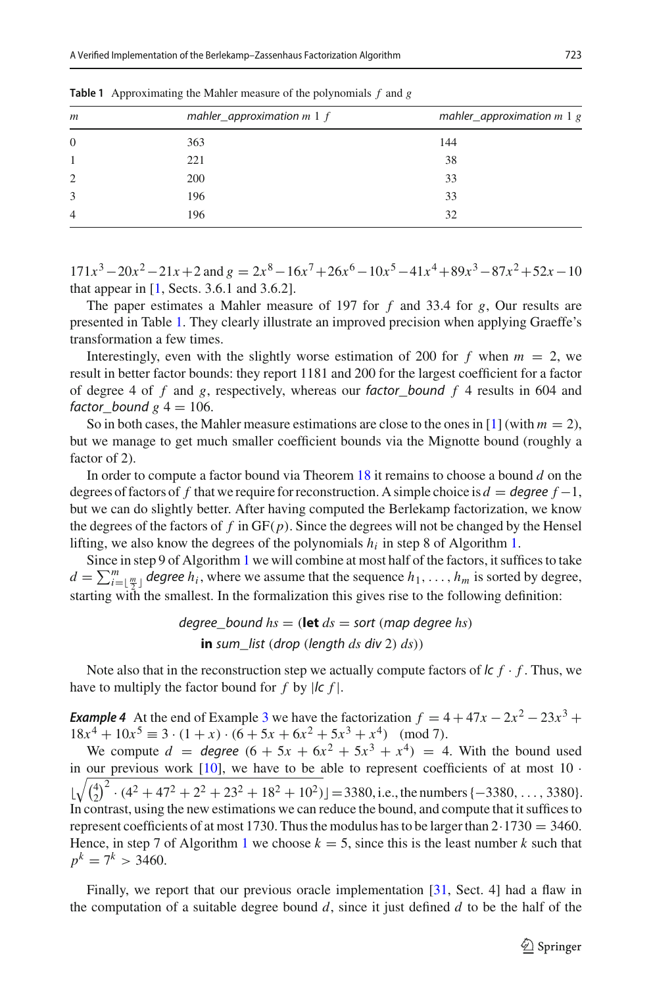| mahler_approximation $m \, 1 \, f$<br>$\boldsymbol{m}$ |     | mahler_approximation $m \, 1 \, g$ |  |
|--------------------------------------------------------|-----|------------------------------------|--|
| $\overline{0}$                                         | 363 | 144                                |  |
| -1                                                     | 221 | 38                                 |  |
| 2                                                      | 200 | 33                                 |  |
| 3                                                      | 196 | 33                                 |  |
| $\overline{4}$                                         | 196 | 32                                 |  |
|                                                        |     |                                    |  |

<span id="page-24-0"></span>**Table 1** Approximating the Mahler measure of the polynomials *f* and *g*

 $171x^3 - 20x^2 - 21x + 2$  and  $g = 2x^8 - 16x^7 + 26x^6 - 10x^5 - 41x^4 + 89x^3 - 87x^2 + 52x - 10$ that appear in  $[1, \text{Sects. } 3.6.1 \text{ and } 3.6.2]$  $[1, \text{Sects. } 3.6.1 \text{ and } 3.6.2]$ .

The paper estimates a Mahler measure of 197 for *f* and 33.4 for *g*, Our results are presented in Table [1.](#page-24-0) They clearly illustrate an improved precision when applying Graeffe's transformation a few times.

Interestingly, even with the slightly worse estimation of 200 for  $f$  when  $m = 2$ , we result in better factor bounds: they report 1181 and 200 for the largest coefficient for a factor of degree 4 of *f* and *g*, respectively, whereas our factor\_bound *f* 4 results in 604 and factor bound  $g$   $4 = 106$ .

So in both cases, the Mahler measure estimations are close to the ones in [\[1](#page-35-16)] (with  $m = 2$ ), but we manage to get much smaller coefficient bounds via the Mignotte bound (roughly a factor of 2).

In order to compute a factor bound via Theorem [18](#page-21-2) it remains to choose a bound *d* on the degrees of factors of f that we require for reconstruction. A simple choice is  $d =$  degree  $f = 1$ , but we can do slightly better. After having computed the Berlekamp factorization, we know the degrees of the factors of  $f$  in  $GF(p)$ . Since the degrees will not be changed by the Hensel lifting, we also know the degrees of the polynomials  $h_i$  in step 8 of Algorithm [1.](#page-1-0)

Since in step 9 of Algorithm [1](#page-1-0) we will combine at most half of the factors, it suffices to take  $d = \sum_{i=\lfloor \frac{m}{2} \rfloor}^m$  *degree h<sub>i</sub>*, where we assume that the sequence  $h_1, \ldots, h_m$  is sorted by degree, starting with the smallest. In the formalization this gives rise to the following definition:

> degree bound  $hs =$  (**let**  $ds =$  sort (map degree  $hs$ ) **in** sum\_list (drop (length *ds* div 2) *ds*))

<span id="page-24-1"></span>Note also that in the reconstruction step we actually compute factors of  $\mathcal{L}f \cdot f$ . Thus, we have to multiply the factor bound for *f* by  $|c f|$ .

*Example 4* At the end of Example [3](#page-14-3) we have the factorization  $f = 4 + 47x - 2x^2 - 23x^3 +$  $18x^{4} + 10x^{5} \equiv 3 \cdot (1 + x) \cdot (6 + 5x + 6x^{2} + 5x^{3} + x^{4})$  (mod 7).

We compute  $d = \text{degree } (6 + 5x + 6x^2 + 5x^3 + x^4) = 4$ . With the bound used in our previous work  $[10]$ , we have to be able to represent coefficients of at most  $10 \cdot$  $\lfloor \sqrt{\binom{4}{2}^2 \cdot (4^2 + 47^2 + 2^2 + 23^2 + 18^2 + 10^2)} \rfloor = 3380$ , i.e., the numbers {-3380, ..., 3380}. In contrast, using the new estimations we can reduce the bound, and compute that it suffices to represent coefficients of at most 1730. Thus the modulus has to be larger than  $2.1730 = 3460$ . Hence, in step 7 of Algorithm [1](#page-1-0) we choose  $k = 5$ , since this is the least number k such that  $p^k = 7^k > 3460.$ 

Finally, we report that our previous oracle implementation [\[31](#page-36-0), Sect. 4] had a flaw in the computation of a suitable degree bound *d*, since it just defined *d* to be the half of the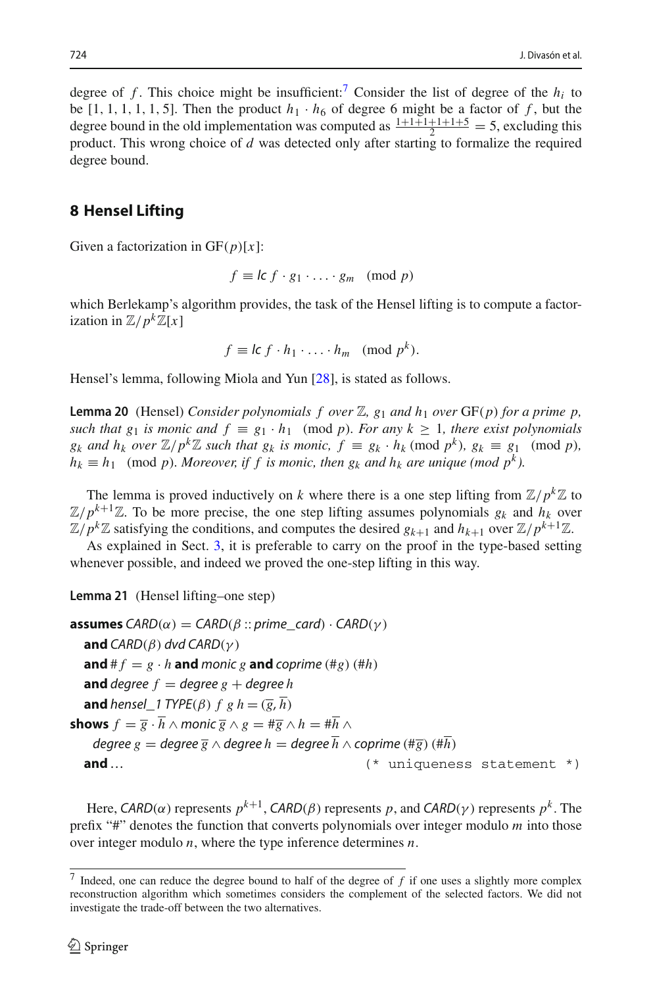degree of *f*. This choice might be insufficient:<sup>7</sup> Consider the list of degree of the  $h_i$  to be [1, 1, 1, 1, 1, 5]. Then the product  $h_1 \cdot h_6$  of degree 6 might be a factor of f, but the degree bound in the old implementation was computed as  $\frac{1+1+1+1+1+5}{2} = 5$ , excluding this product. This wrong choice of *d* was detected only after starting to formalize the required degree bound.

## <span id="page-25-0"></span>**8 Hensel Lifting**

Given a factorization in GF(*p*)[*x*]:

$$
f \equiv \mathsf{l} \mathsf{c} \, f \cdot g_1 \cdot \ldots \cdot g_m \pmod{p}
$$

which Berlekamp's algorithm provides, the task of the Hensel lifting is to compute a factorization in  $\mathbb{Z}/p^k\mathbb{Z}[x]$ 

$$
f \equiv lc \ f \cdot h_1 \cdot \ldots \cdot h_m \pmod{p^k}.
$$

<span id="page-25-3"></span>Hensel's lemma, following Miola and Yun [\[28\]](#page-36-11), is stated as follows.

**Lemma 20** (Hensel) *Consider polynomials f over*  $\mathbb{Z}$ ,  $g_1$  *and*  $h_1$  *over* GF(*p*) *for a prime p*, *such that g<sub>1</sub> <i>is monic and*  $f \equiv g_1 \cdot h_1 \pmod{p}$ *. For any*  $k \ge 1$ *, there exist polynomials g<sub>k</sub>* and  $h_k$  *over*  $\mathbb{Z}/p^k\mathbb{Z}$  *such that g<sub>k</sub> is monic,*  $f \equiv g_k \cdot h_k \pmod{p^k}$ ,  $g_k \equiv g_1 \pmod{p}$ ,  $h_k \equiv h_1 \pmod{p}$ *. Moreover, if f is monic, then*  $g_k$  *and*  $h_k$  *are unique (mod*  $p^k$ *).* 

The lemma is proved inductively on *k* where there is a one step lifting from  $\mathbb{Z}/p^k\mathbb{Z}$  to  $\mathbb{Z}/p^{k+1}\mathbb{Z}$ . To be more precise, the one step lifting assumes polynomials  $g_k$  and  $h_k$  over  $\mathbb{Z}/p^k\mathbb{Z}$  satisfying the conditions, and computes the desired  $g_{k+1}$  and  $h_{k+1}$  over  $\mathbb{Z}/p^{k+1}\mathbb{Z}$ .

<span id="page-25-2"></span>As explained in Sect. [3,](#page-4-0) it is preferable to carry on the proof in the type-based setting whenever possible, and indeed we proved the one-step lifting in this way.

**Lemma 21** (Hensel lifting*–*one step)

```
assumes CARD(\alpha) = CARD(\beta::prime\_card) \cdot CARD(\gamma)and CARD(\beta) dvd CARD(\gamma)and # f = g \cdot h and monic g and coprime (#g) (#h)
   and degree f = \text{degree } g + \text{degree } hand hensel_1 TYPE(\beta) f g h = (\overline{g}, \overline{h})shows f = \overline{g} \cdot \overline{h} \wedge \text{monic } \overline{g} \wedge g = \#\overline{g} \wedge h = \#\overline{h} \wedge hdegree g = degree \overline{g} ∧ degree h = degree \overline{h} ∧ coprime (#\overline{g}) (#\overline{h})
   and … (* uniqueness statement *)
```
Here, CARD( $\alpha$ ) represents  $p^{k+1}$ , CARD( $\beta$ ) represents p, and CARD( $\gamma$ ) represents  $p^k$ . The prefix "#" denotes the function that converts polynomials over integer modulo *m* into those over integer modulo *n*, where the type inference determines *n*.

<span id="page-25-1"></span><sup>7</sup> Indeed, one can reduce the degree bound to half of the degree of *f* if one uses a slightly more complex reconstruction algorithm which sometimes considers the complement of the selected factors. We did not investigate the trade-off between the two alternatives.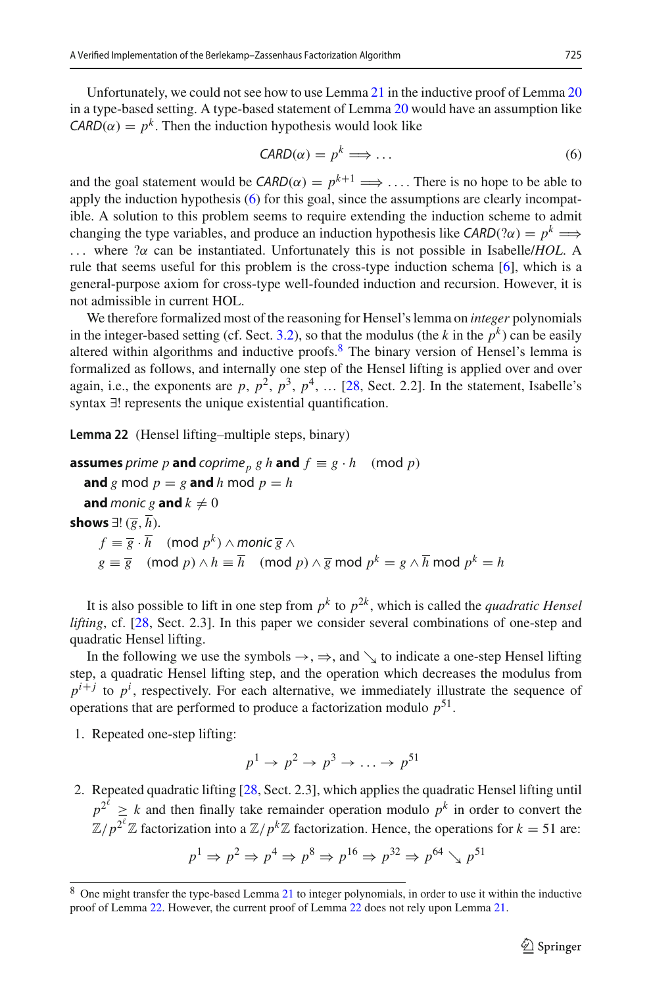Unfortunately, we could not see how to use Lemma [21](#page-25-2) in the inductive proof of Lemma [20](#page-25-3) in a type-based setting. A type-based statement of Lemma [20](#page-25-3) would have an assumption like  $CARD(\alpha) = p^k$ . Then the induction hypothesis would look like

<span id="page-26-0"></span>
$$
CARD(\alpha) = p^k \Longrightarrow \dots \tag{6}
$$

and the goal statement would be  $CARD(\alpha) = p^{k+1} \implies \dots$  There is no hope to be able to apply the induction hypothesis [\(6\)](#page-26-0) for this goal, since the assumptions are clearly incompatible. A solution to this problem seems to require extending the induction scheme to admit changing the type variables, and produce an induction hypothesis like  $CARD(2\alpha) = p^k \implies$ ... where ?α can be instantiated. Unfortunately this is not possible in Isabelle/*HOL*. A rule that seems useful for this problem is the cross-type induction schema [\[6\]](#page-35-17), which is a general-purpose axiom for cross-type well-founded induction and recursion. However, it is not admissible in current HOL.

We therefore formalized most of the reasoning for Hensel's lemma on *integer* polynomials in the integer-based setting (cf. Sect. [3.2\)](#page-6-0), so that the modulus (the *k* in the  $p^k$ ) can be easily altered within algorithms and inductive proofs. $8$  The binary version of Hensel's lemma is formalized as follows, and internally one step of the Hensel lifting is applied over and over again, i.e., the exponents are  $p$ ,  $p^2$ ,  $p^3$ ,  $p^4$ , ... [\[28](#page-36-11), Sect. 2.2]. In the statement, Isabelle's syntax ∃! represents the unique existential quantification.

<span id="page-26-2"></span>**Lemma 22** (Hensel lifting*–*multiple steps, binary)

```
assumes prime p and coprime<sub>p</sub> g h and f \equiv g \cdot h \pmod{p}and g mod p = g and h mod p = hand monic g and k \neq 0shows ∃! (<del>g</del>, h<sup>)</sup>.
      f \equiv \overline{g} \cdot \overline{h} (mod p^k) ∧ monic \overline{g} ∧
       g \equiv \overline{g} (mod p) \wedge h \equiv \overline{h} (mod p) \wedge \overline{g} mod p^k = g \wedge \overline{h} mod p^k = h
```
It is also possible to lift in one step from  $p^k$  to  $p^{2k}$ , which is called the *quadratic Hensel lifting*, cf. [\[28,](#page-36-11) Sect. 2.3]. In this paper we consider several combinations of one-step and quadratic Hensel lifting.

In the following we use the symbols  $\rightarrow$ ,  $\Rightarrow$ , and  $\searrow$  to indicate a one-step Hensel lifting step, a quadratic Hensel lifting step, and the operation which decreases the modulus from  $p^{i+j}$  to  $p^i$ , respectively. For each alternative, we immediately illustrate the sequence of operations that are performed to produce a factorization modulo  $p^{51}$ .

1. Repeated one-step lifting:

$$
p^1 \to p^2 \to p^3 \to \dots \to p^{51}
$$

2. Repeated quadratic lifting [\[28](#page-36-11), Sect. 2.3], which applies the quadratic Hensel lifting until  $p^{2^{\ell}} \geq k$  and then finally take remainder operation modulo  $p^k$  in order to convert the  $\mathbb{Z}/p^{2^{\ell}}\mathbb{Z}$  factorization into a  $\mathbb{Z}/p^{k}\mathbb{Z}$  factorization. Hence, the operations for  $k = 51$  are:

$$
p^1 \Rightarrow p^2 \Rightarrow p^4 \Rightarrow p^8 \Rightarrow p^{16} \Rightarrow p^{32} \Rightarrow p^{64} \searrow p^{51}
$$

<span id="page-26-1"></span><sup>8</sup> One might transfer the type-based Lemma [21](#page-25-2) to integer polynomials, in order to use it within the inductive proof of Lemma [22.](#page-26-2) However, the current proof of Lemma [22](#page-26-2) does not rely upon Lemma [21.](#page-25-2)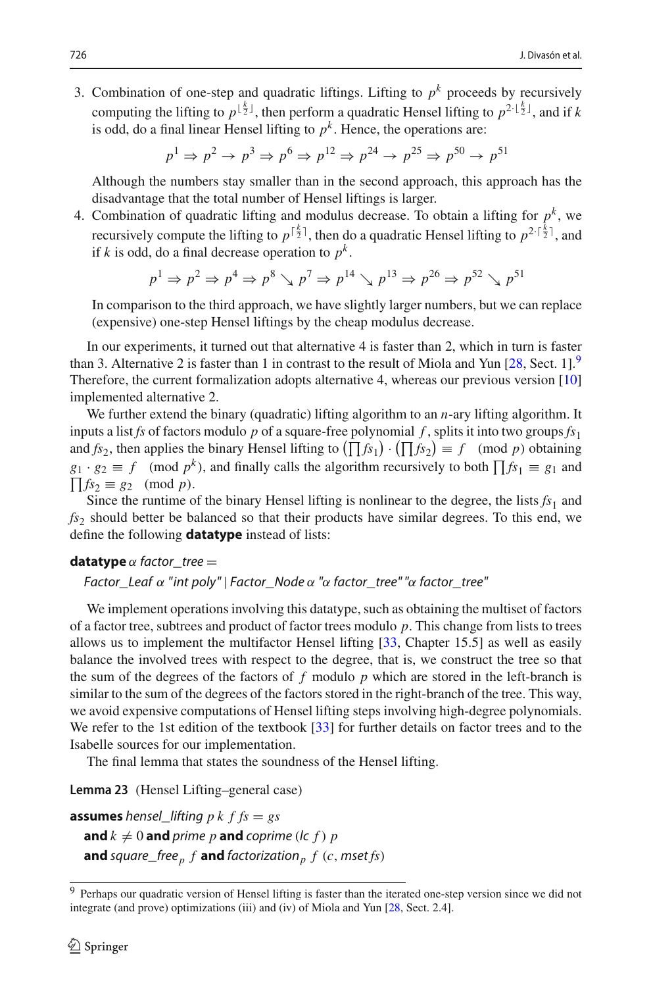3. Combination of one-step and quadratic liftings. Lifting to  $p<sup>k</sup>$  proceeds by recursively computing the lifting to  $p^{\lfloor \frac{k}{2} \rfloor}$ , then perform a quadratic Hensel lifting to  $p^{2\cdot \lfloor \frac{k}{2} \rfloor}$ , and if k is odd, do a final linear Hensel lifting to  $p^k$ . Hence, the operations are:

$$
p^1 \Rightarrow p^2 \Rightarrow p^3 \Rightarrow p^6 \Rightarrow p^{12} \Rightarrow p^{24} \Rightarrow p^{25} \Rightarrow p^{50} \Rightarrow p^{51}
$$

Although the numbers stay smaller than in the second approach, this approach has the disadvantage that the total number of Hensel liftings is larger.

4. Combination of quadratic lifting and modulus decrease. To obtain a lifting for  $p^k$ , we recursively compute the lifting to  $p^{\lceil \frac{k}{2} \rceil}$ , then do a quadratic Hensel lifting to  $p^{2 \cdot \lceil \frac{k}{2} \rceil}$ , and if *k* is odd, do a final decrease operation to  $p^k$ .

$$
p^1 \Rightarrow p^2 \Rightarrow p^4 \Rightarrow p^8 \searrow p^7 \Rightarrow p^{14} \searrow p^{13} \Rightarrow p^{26} \Rightarrow p^{52} \searrow p^{51}
$$

In comparison to the third approach, we have slightly larger numbers, but we can replace (expensive) one-step Hensel liftings by the cheap modulus decrease.

In our experiments, it turned out that alternative 4 is faster than 2, which in turn is faster than 3. Alternative 2 is faster than 1 in contrast to the result of Miola and Yun  $[28, Sect. 1]$  $[28, Sect. 1]$ . Therefore, the current formalization adopts alternative 4, whereas our previous version [\[10\]](#page-35-9) implemented alternative 2.

We further extend the binary (quadratic) lifting algorithm to an *n*-ary lifting algorithm. It inputs a list *fs* of factors modulo *p* of a square-free polynomial *f*, splits it into two groups  $f_{s_1}$ and  $fs_2$ , then applies the binary Hensel lifting to  $(\prod fs_1) \cdot (\prod fs_2) \equiv f \pmod{p}$  obtaining  $g_1 \cdot g_2 \equiv f \pmod{p^k}$ , and finally calls the algorithm recursively to both  $\prod f_{s_1} \equiv g_1$  and  $\prod f s_2 \equiv g_2 \pmod{p}.$ 

Since the runtime of the binary Hensel lifting is nonlinear to the degree, the lists  $fs<sub>1</sub>$  and fs<sub>2</sub> should better be balanced so that their products have similar degrees. To this end, we define the following **datatype** instead of lists:

#### **datatype**  $\alpha$  factor tree  $=$

Factor Leaf  $\alpha$  "int poly" | Factor Node  $\alpha$  " $\alpha$  factor tree" " $\alpha$  factor tree"

We implement operations involving this datatype, such as obtaining the multiset of factors of a factor tree, subtrees and product of factor trees modulo *p*. This change from lists to trees allows us to implement the multifactor Hensel lifting [\[33](#page-36-12), Chapter 15.5] as well as easily balance the involved trees with respect to the degree, that is, we construct the tree so that the sum of the degrees of the factors of *f* modulo *p* which are stored in the left-branch is similar to the sum of the degrees of the factors stored in the right-branch of the tree. This way, we avoid expensive computations of Hensel lifting steps involving high-degree polynomials. We refer to the 1st edition of the textbook [\[33\]](#page-36-12) for further details on factor trees and to the Isabelle sources for our implementation.

The final lemma that states the soundness of the Hensel lifting.

**Lemma 23** (Hensel Lifting*–*general case)

```
assumes hensel lifting p k f f s = gsand k \neq 0 and prime p and coprime (lc f) pand square_free<sub>p</sub> f and factorization<sub>p</sub> f (c, mset fs)
```
<span id="page-27-0"></span><sup>&</sup>lt;sup>9</sup> Perhaps our quadratic version of Hensel lifting is faster than the iterated one-step version since we did not integrate (and prove) optimizations (iii) and (iv) of Miola and Yun [\[28](#page-36-11), Sect. 2.4].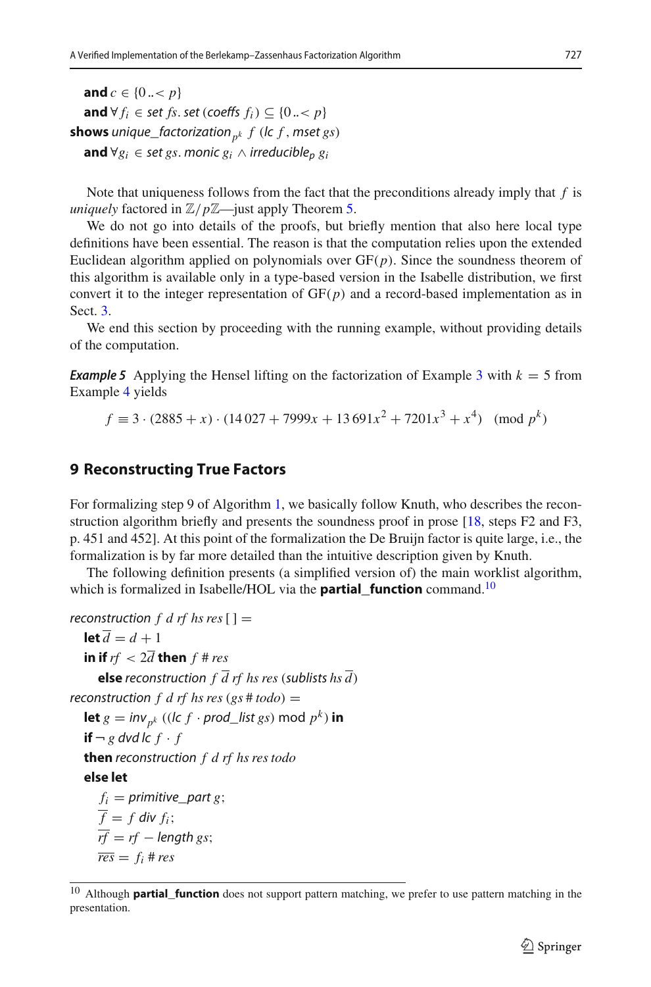**and**  $c \in \{0, \lt, p\}$ **and** ∀  $f_i$  ∈ set  $fs$ . set (coeffs  $f_i$ ) ⊆ {0 .. < p} **shows** unique\_factorization<sub>pk</sub>  $f$  (lc  $f$ , mset  $gs$ ) **and** ∀ $g_i$  ∈ set *gs*. monic  $g_i$  ∧ irreducible<sub>n</sub>  $g_i$ 

Note that uniqueness follows from the fact that the preconditions already imply that *f* is *uniquely* factored in  $\mathbb{Z}/p\mathbb{Z}$ —just apply Theorem [5.](#page-21-1)

We do not go into details of the proofs, but briefly mention that also here local type definitions have been essential. The reason is that the computation relies upon the extended Euclidean algorithm applied on polynomials over GF(*p*). Since the soundness theorem of this algorithm is available only in a type-based version in the Isabelle distribution, we first convert it to the integer representation of  $GF(p)$  and a record-based implementation as in Sect. [3.](#page-4-0)

<span id="page-28-2"></span>We end this section by proceeding with the running example, without providing details of the computation.

**Example 5** Applying the Hensel lifting on the factorization of Example [3](#page-14-3) with  $k = 5$  from Example [4](#page-24-1) yields

 $f \equiv 3 \cdot (2885 + x) \cdot (14027 + 7999x + 13691x^2 + 7201x^3 + x^4)$  (mod  $p^k$ )

## <span id="page-28-0"></span>**9 Reconstructing True Factors**

For formalizing step 9 of Algorithm [1,](#page-1-0) we basically follow Knuth, who describes the reconstruction algorithm briefly and presents the soundness proof in prose [\[18,](#page-35-4) steps F2 and F3, p. 451 and 452]. At this point of the formalization the De Bruijn factor is quite large, i.e., the formalization is by far more detailed than the intuitive description given by Knuth.

The following definition presents (a simplified version of) the main worklist algorithm, which is formalized in Isabelle/HOL via the **partial\_function** command.[10](#page-28-1)

```
reconstruction f d rf hs res [] =let \overline{d} = d + 1in if rf < 2\overline{d} then f # res
      else reconstruction f \overline{d} rf hs res (sublists hs \overline{d})
reconstruction f d rf hs res (gs # todo) =
   let g = inv_{p^k} ((lc f \cdot prod\_list{gs}) mod p^k) in
   if \neg g dvd lc f \cdot fthen reconstruction f d rf hs res todo
   else let
      f_i = primitive part g;
     \overline{f} = f div f_i;
     \overline{rf} = rf - length gs;r \overline{es} = f_i # res
```
<span id="page-28-1"></span><sup>10</sup> Although **partial\_function** does not support pattern matching, we prefer to use pattern matching in the presentation.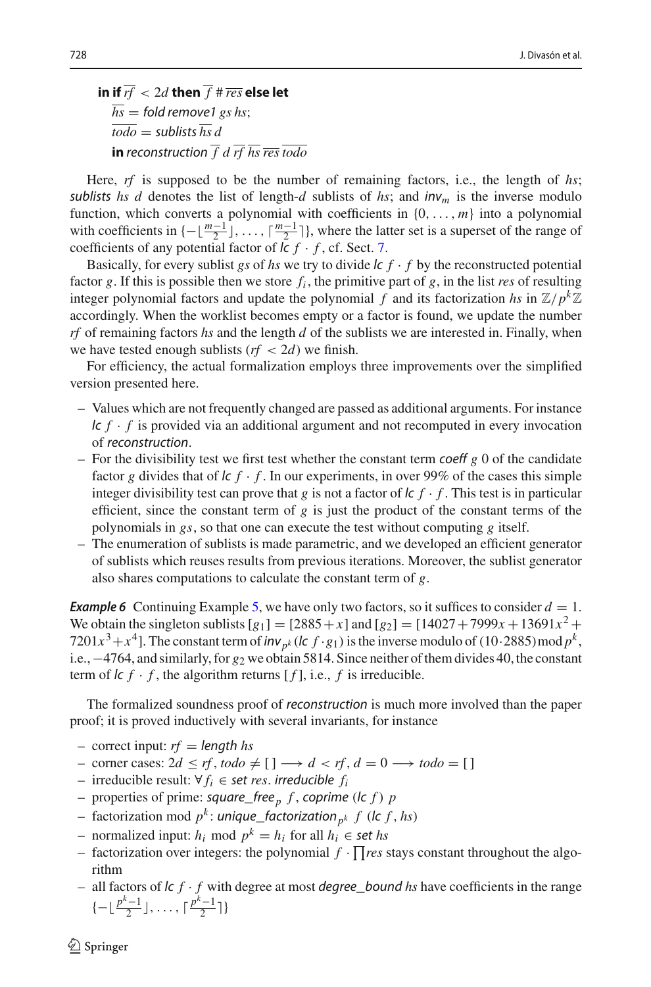in if  $\overline{rf} < 2d$  then  $\overline{f}$  #  $\overline{res}$  else let  $\overline{hs}$  = fold remove 1 *gs* hs:  $\overline{todo}$  = sublists  $\overline{hs}$  *d* 

**in** reconstruction  $\overline{f}$  *d*  $\overline{rf}$  *hs*  $\overline{res}$  *todo* 

Here, *rf* is supposed to be the number of remaining factors, i.e., the length of *hs*; sublists *hs d* denotes the list of length-*d* sublists of *hs*; and  $\ln v_m$  is the inverse modulo function, which converts a polynomial with coefficients in {0,..., *m*} into a polynomial with coefficients in  $\{-\lfloor \frac{m-1}{2} \rfloor, \ldots, \lceil \frac{m-1}{2} \rceil\}$ , where the latter set is a superset of the range of coefficients of any potential factor of  $\mathcal{L}f \cdot f$ , cf. Sect. [7.](#page-21-0)

Basically, for every sublist *gs* of *hs* we try to divide  $\kappa f \cdot f$  by the reconstructed potential factor  $g$ . If this is possible then we store  $f_i$ , the primitive part of  $g$ , in the list *res* of resulting integer polynomial factors and update the polynomial *f* and its factorization *hs* in  $\mathbb{Z}/p^k\mathbb{Z}$ accordingly. When the worklist becomes empty or a factor is found, we update the number *rf* of remaining factors *hs* and the length *d* of the sublists we are interested in. Finally, when we have tested enough sublists  $(r f < 2d)$  we finish.

For efficiency, the actual formalization employs three improvements over the simplified version presented here.

- Values which are not frequently changed are passed as additional arguments. For instance  $l c f \cdot f$  is provided via an additional argument and not recomputed in every invocation of reconstruction.
- $-$  For the divisibility test we first test whether the constant term coeff  $g$  0 of the candidate factor g divides that of  $\frac{f \cdot f}{f}$ . In our experiments, in over 99% of the cases this simple integer divisibility test can prove that *g* is not a factor of  $\kappa f \cdot f$ . This test is in particular efficient, since the constant term of  $g$  is just the product of the constant terms of the polynomials in *gs*, so that one can execute the test without computing *g* itself.
- The enumeration of sublists is made parametric, and we developed an efficient generator of sublists which reuses results from previous iterations. Moreover, the sublist generator also shares computations to calculate the constant term of *g*.

**Example 6** Continuing Example [5,](#page-28-2) we have only two factors, so it suffices to consider  $d = 1$ . We obtain the singleton sublists  $[g_1] = [2885 + x]$  and  $[g_2] = [14027 + 7999x + 13691x^2 +$ 7201 $x^3 + x^4$ ]. The constant term of  $\frac{inv_{p^k}(lc f \cdot g_1)}{k}$  is the inverse modulo of (10·2885)mod  $p^k$ , i.e.,−4764, and similarly, for *g*<sup>2</sup> we obtain 5814. Since neither of them divides 40, the constant term of  $\mathbf{c}$   $f \cdot f$ , the algorithm returns  $[f]$ , i.e.,  $f$  is irreducible.

The formalized soundness proof of reconstruction is much more involved than the paper proof; it is proved inductively with several invariants, for instance

- $-$  correct input:  $rf = length$  *hs*
- $-$  corner cases:  $2d \le rf$ ,  $todo \neq [$   $] \longrightarrow d < rf$ ,  $d = 0 \longrightarrow todo = [$
- irreducible result: ∀ *fi* ∈ set *res*. irreducible *fi*
- properties of prime: square\_free*<sup>p</sup> f* , coprime (lc *f* ) *p*
- factorization mod  $p^k$ : unique\_factorization<sub>n</sub>k f (lc f, hs)
- normalized input: *hi* mod *<sup>p</sup><sup>k</sup>* <sup>=</sup> *hi* for all *hi* <sup>∈</sup> set *hs*
- $-$  factorization over integers: the polynomial  $f \cdot \prod res$  stays constant throughout the algorithm
- all factors of lc *f* · *f* with degree at most degree\_bound *hs* have coefficients in the range  $\{-\lfloor \frac{p^k-1}{2} \rfloor, \ldots, \lceil \frac{p^k-1}{2} \rceil \}$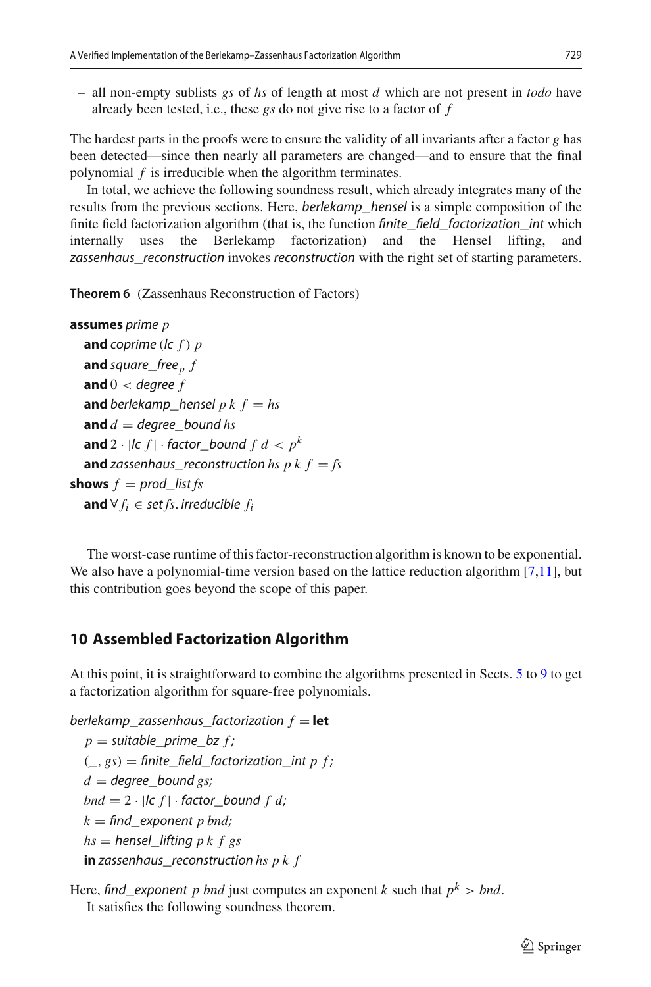– all non-empty sublists *gs* of *hs* of length at most *d* which are not present in *todo* have already been tested, i.e., these *gs* do not give rise to a factor of *f*

The hardest parts in the proofs were to ensure the validity of all invariants after a factor *g* has been detected—since then nearly all parameters are changed—and to ensure that the final polynomial *f* is irreducible when the algorithm terminates.

In total, we achieve the following soundness result, which already integrates many of the results from the previous sections. Here, berlekamp\_hensel is a simple composition of the finite field factorization algorithm (that is, the function *finite\_field\_factorization\_int* which internally uses the Berlekamp factorization) and the Hensel lifting, and zassenhaus\_reconstruction invokes reconstruction with the right set of starting parameters.

**Theorem 6** (Zassenhaus Reconstruction of Factors)

```
assumes prime p
  and coprime (lc f ) p
  and square_free<sub>p</sub> fand 0 < degree f
  and berlekamp_hensel p k f = h sand d = degree bound hs
  and 2 · |c f| · factor bound f d < p^kand zassenhaus reconstruction hs p k f = fs
shows f = prod\_list fsand ∀ f_i ∈ set fs. irreducible f_i
```
The worst-case runtime of this factor-reconstruction algorithm is known to be exponential. We also have a polynomial-time version based on the lattice reduction algorithm [\[7](#page-35-18)[,11](#page-35-5)], but this contribution goes beyond the scope of this paper.

# <span id="page-30-0"></span>**10 Assembled Factorization Algorithm**

At this point, it is straightforward to combine the algorithms presented in Sects. [5](#page-13-0) to [9](#page-28-0) to get a factorization algorithm for square-free polynomials.

 $berlekamp\_zassenhaus\_factorization f = let$  $p =$  suitable\_prime\_bz  $f$ ;  $($ ,  $gs)$  = finite\_field\_factorization\_int *p f* ;  $d =$  degree bound *gs*; *bnd* =  $2 \cdot |c f| \cdot$  *factor bound f d*;  $k = \text{find\_exponent } p \text{ bnd};$ *hs* = hensel\_lifting *p k f gs* **in** zassenhaus\_reconstruction *hs p k f*

Here, find\_exponent *p* bnd just computes an exponent *k* such that  $p^k > bnd$ . It satisfies the following soundness theorem.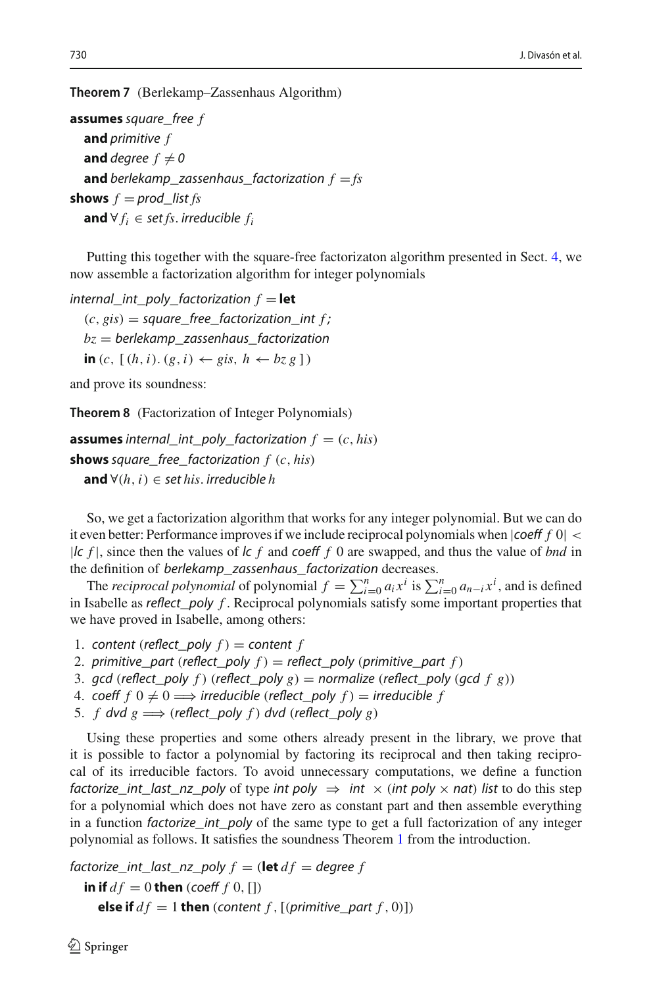**Theorem 7** (Berlekamp*–*Zassenhaus Algorithm)

```
assumes square_free f
  and primitive f
  and degree f \neq 0and berlekamp zassenhaus factorization f = fsshows f = prod\_list fsand ∀ f_i ∈ set fs. irreducible f_i
```
Putting this together with the square-free factorizaton algorithm presented in Sect. [4,](#page-12-0) we now assemble a factorization algorithm for integer polynomials

internal int poly factorization  $f = \text{let}$  $(c, gis) = square-free-factorization\_int f$ ;  $bz =$  berlekamp\_zassenhaus\_factorization **in** (*c*, [(*h*,*i*). (*g*,*i*) ← *gis*, *h* ← *bz g* ])

and prove its soundness:

**Theorem 8** (Factorization of Integer Polynomials)

```
assumes internal_int_poly_factorization f = (c, his)shows square_free_factorization f (c, his)
  and ∀(h,i) ∈ set his. irreducible h
```
So, we get a factorization algorithm that works for any integer polynomial. But we can do it even better: Performance improves if we include reciprocal polynomials when  $|coeff f 0|$  < |lc *f* |, since then the values of lc *f* and coeff *f* 0 are swapped, and thus the value of *bnd* in the definition of berlekamp\_zassenhaus\_factorization decreases.

The *reciprocal polynomial* of polynomial  $f = \sum_{i=0}^{n} a_i x^i$  is  $\sum_{i=0}^{n} a_{n-i} x^i$ , and is defined in Isabelle as reflect\_poly *f* . Reciprocal polynomials satisfy some important properties that we have proved in Isabelle, among others:

- 1. content (reflect\_poly  $f$ ) = content  $f$
- 2. primitive\_part (reflect\_poly  $f$ ) = reflect\_poly (primitive\_part  $f$ )
- 3. gcd (reflect\_poly f) (reflect\_poly  $g$ ) = normalize (reflect\_poly (gcd f g))
- 4. coeff  $f \nvert 0 \neq 0 \Longrightarrow$  irreducible (reflect\_poly  $f$ )  $=$  irreducible  $f$
- 5. *f* dvd  $g \implies$  (reflect\_poly *f*) dvd (reflect\_poly *g*)

Using these properties and some others already present in the library, we prove that it is possible to factor a polynomial by factoring its reciprocal and then taking reciprocal of its irreducible factors. To avoid unnecessary computations, we define a function factorize\_int\_last\_nz\_poly of type int poly  $\Rightarrow$  int  $\times$  (int poly  $\times$  nat) list to do this step for a polynomial which does not have zero as constant part and then assemble everything in a function *factorize\_int\_poly* of the same type to get a full factorization of any integer polynomial as follows. It satisfies the soundness Theorem [1](#page-1-2) from the introduction.

```
factorize\_int\_last\_nz\_poly f = (\text{let } df = degree f)in if df = 0 then (coeff f(0, \Pi))
     else if df = 1 then (content f , [(primitive_part f , 0)])
```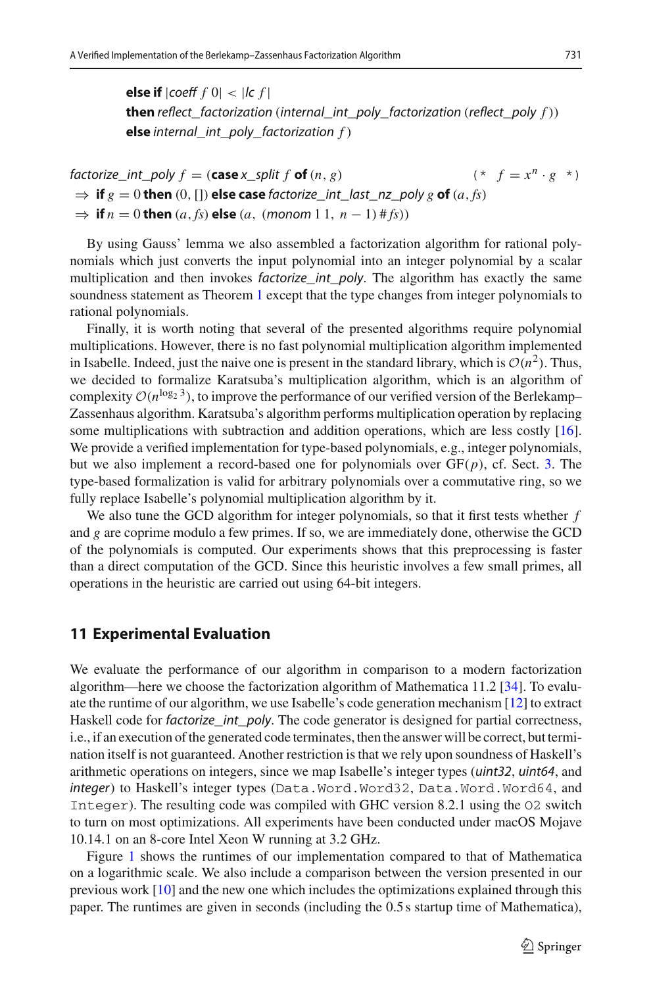**else if**  $|coeff f 0| < |lc f|$ **then** reflect\_factorization (internal\_int\_poly\_factorization (reflect\_poly *f* )) **else** internal\_int\_poly\_factorization *f* )

factorize int poly  $f = (\text{case} \times \text{ split } f \text{ of } (n, g))$  (\*  $f = x^n \cdot g^{*}$ )  $\Rightarrow$  **if**  $g = 0$  **then** (0, []) **else case** factorize int last nz poly g **of** (*a*, *fs*)  $\Rightarrow$  **if** *n* = 0 **then** (*a*, *fs*) **else** (*a*, (*monom* 1 1, *n* − 1) # *fs*))

By using Gauss' lemma we also assembled a factorization algorithm for rational polynomials which just converts the input polynomial into an integer polynomial by a scalar multiplication and then invokes *factorize\_int\_poly*. The algorithm has exactly the same soundness statement as Theorem [1](#page-1-2) except that the type changes from integer polynomials to rational polynomials.

Finally, it is worth noting that several of the presented algorithms require polynomial multiplications. However, there is no fast polynomial multiplication algorithm implemented in Isabelle. Indeed, just the naive one is present in the standard library, which is  $\mathcal{O}(n^2)$ . Thus, we decided to formalize Karatsuba's multiplication algorithm, which is an algorithm of complexity  $O(n^{\log_2 3})$ , to improve the performance of our verified version of the Berlekamp– Zassenhaus algorithm. Karatsuba's algorithm performs multiplication operation by replacing some multiplications with subtraction and addition operations, which are less costly [\[16\]](#page-35-19). We provide a verified implementation for type-based polynomials, e.g., integer polynomials, but we also implement a record-based one for polynomials over  $GF(p)$ , cf. Sect. [3.](#page-4-0) The type-based formalization is valid for arbitrary polynomials over a commutative ring, so we fully replace Isabelle's polynomial multiplication algorithm by it.

We also tune the GCD algorithm for integer polynomials, so that it first tests whether *f* and *g* are coprime modulo a few primes. If so, we are immediately done, otherwise the GCD of the polynomials is computed. Our experiments shows that this preprocessing is faster than a direct computation of the GCD. Since this heuristic involves a few small primes, all operations in the heuristic are carried out using 64-bit integers.

#### <span id="page-32-0"></span>**11 Experimental Evaluation**

We evaluate the performance of our algorithm in comparison to a modern factorization algorithm—here we choose the factorization algorithm of Mathematica 11.2 [\[34](#page-36-5)]. To evaluate the runtime of our algorithm, we use Isabelle's code generation mechanism [\[12](#page-35-20)] to extract Haskell code for *factorize\_int\_poly*. The code generator is designed for partial correctness, i.e., if an execution of the generated code terminates, then the answer will be correct, but termination itself is not guaranteed. Another restriction is that we rely upon soundness of Haskell's arithmetic operations on integers, since we map Isabelle's integer types (uint32, uint64, and integer) to Haskell's integer types (Data.Word.Word32, Data.Word.Word64, and Integer). The resulting code was compiled with GHC version 8.2.1 using the O2 switch to turn on most optimizations. All experiments have been conducted under macOS Mojave 10.14.1 on an 8-core Intel Xeon W running at 3.2 GHz.

Figure [1](#page-33-0) shows the runtimes of our implementation compared to that of Mathematica on a logarithmic scale. We also include a comparison between the version presented in our previous work [\[10\]](#page-35-9) and the new one which includes the optimizations explained through this paper. The runtimes are given in seconds (including the 0.5 s startup time of Mathematica),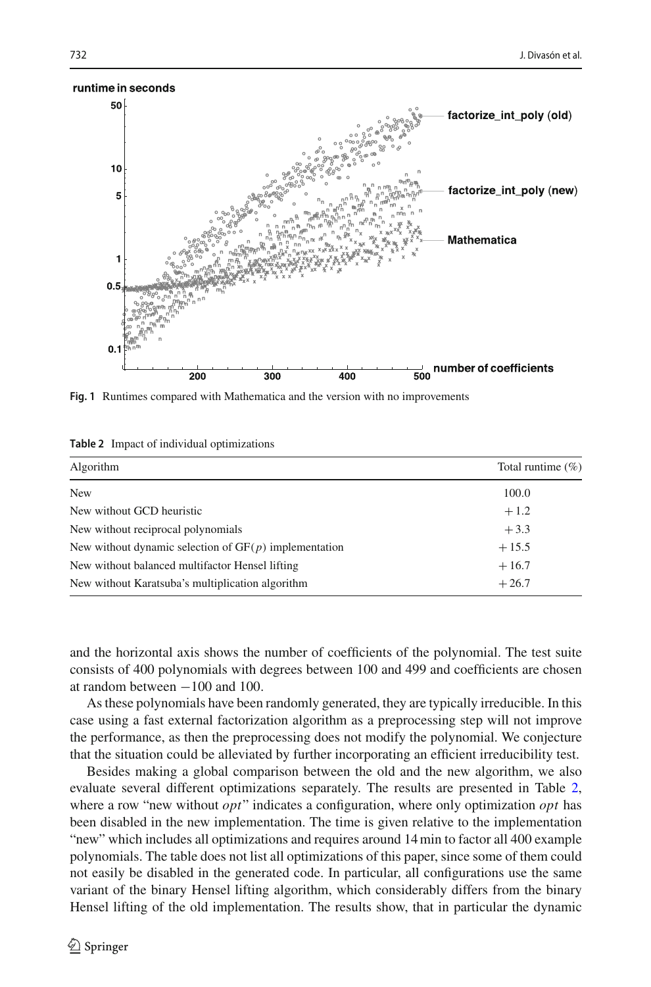

<span id="page-33-0"></span>**Fig. 1** Runtimes compared with Mathematica and the version with no improvements

<span id="page-33-1"></span>

|  |  |  |  | Table 2 Impact of individual optimizations |
|--|--|--|--|--------------------------------------------|
|--|--|--|--|--------------------------------------------|

| Algorithm                                               | Total runtime $(\%)$ |
|---------------------------------------------------------|----------------------|
| <b>New</b>                                              | 100.0                |
| New without GCD heuristic                               | $+1.2$               |
| New without reciprocal polynomials                      | $+3.3$               |
| New without dynamic selection of $GF(p)$ implementation | $+15.5$              |
| New without balanced multifactor Hensel lifting         | $+16.7$              |
| New without Karatsuba's multiplication algorithm        | $+26.7$              |

and the horizontal axis shows the number of coefficients of the polynomial. The test suite consists of 400 polynomials with degrees between 100 and 499 and coefficients are chosen at random between −100 and 100.

As these polynomials have been randomly generated, they are typically irreducible. In this case using a fast external factorization algorithm as a preprocessing step will not improve the performance, as then the preprocessing does not modify the polynomial. We conjecture that the situation could be alleviated by further incorporating an efficient irreducibility test.

Besides making a global comparison between the old and the new algorithm, we also evaluate several different optimizations separately. The results are presented in Table [2,](#page-33-1) where a row "new without *opt*" indicates a configuration, where only optimization *opt* has been disabled in the new implementation. The time is given relative to the implementation "new" which includes all optimizations and requires around 14min to factor all 400 example polynomials. The table does not list all optimizations of this paper, since some of them could not easily be disabled in the generated code. In particular, all configurations use the same variant of the binary Hensel lifting algorithm, which considerably differs from the binary Hensel lifting of the old implementation. The results show, that in particular the dynamic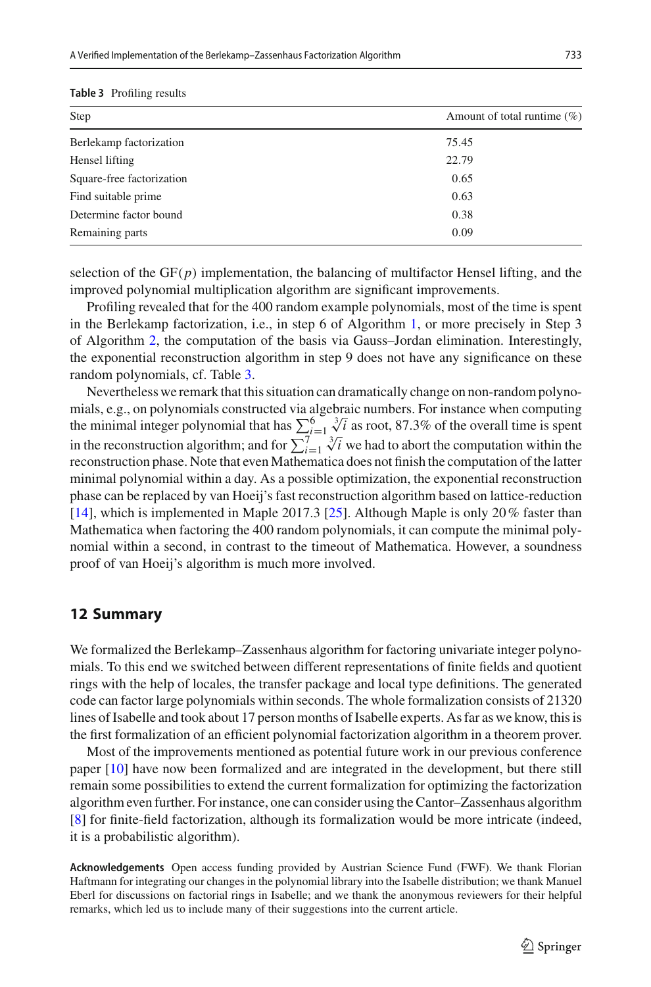#### <span id="page-34-1"></span>**Table 3** Profiling results

| Step                      | Amount of total runtime $(\% )$ |  |
|---------------------------|---------------------------------|--|
| Berlekamp factorization   | 75.45                           |  |
| Hensel lifting            | 22.79                           |  |
| Square-free factorization | 0.65                            |  |
| Find suitable prime       | 0.63                            |  |
| Determine factor bound    | 0.38                            |  |
| Remaining parts           | 0.09                            |  |

selection of the  $GF(p)$  implementation, the balancing of multifactor Hensel lifting, and the improved polynomial multiplication algorithm are significant improvements.

Profiling revealed that for the 400 random example polynomials, most of the time is spent in the Berlekamp factorization, i.e., in step 6 of Algorithm [1,](#page-1-0) or more precisely in Step 3 of Algorithm [2,](#page-14-1) the computation of the basis via Gauss–Jordan elimination. Interestingly, the exponential reconstruction algorithm in step 9 does not have any significance on these random polynomials, cf. Table [3.](#page-34-1)

Nevertheless we remark that this situation can dramatically change on non-random polynomials, e.g., on polynomials constructed via algebraic numbers. For instance when computing the minimal integer polynomial that has  $\sum_{i=1}^{6} \sqrt[3]{i}$  as root, 87.3% of the overall time is spent in the reconstruction algorithm; and for  $\sum_{i=1}^{7i-1} \sqrt[3]{i}$  we had to abort the computation within the reconstruction phase. Note that even Mathematica does not finish the computation of the latter minimal polynomial within a day. As a possible optimization, the exponential reconstruction phase can be replaced by van Hoeij's fast reconstruction algorithm based on lattice-reduction [\[14\]](#page-35-21), which is implemented in Maple 2017.3 [\[25\]](#page-36-13). Although Maple is only 20% faster than Mathematica when factoring the 400 random polynomials, it can compute the minimal polynomial within a second, in contrast to the timeout of Mathematica. However, a soundness proof of van Hoeij's algorithm is much more involved.

## <span id="page-34-0"></span>**12 Summary**

We formalized the Berlekamp–Zassenhaus algorithm for factoring univariate integer polynomials. To this end we switched between different representations of finite fields and quotient rings with the help of locales, the transfer package and local type definitions. The generated code can factor large polynomials within seconds. The whole formalization consists of 21320 lines of Isabelle and took about 17 person months of Isabelle experts. As far as we know, this is the first formalization of an efficient polynomial factorization algorithm in a theorem prover.

Most of the improvements mentioned as potential future work in our previous conference paper [\[10\]](#page-35-9) have now been formalized and are integrated in the development, but there still remain some possibilities to extend the current formalization for optimizing the factorization algorithm even further. For instance, one can consider using the Cantor–Zassenhaus algorithm [\[8](#page-35-1)] for finite-field factorization, although its formalization would be more intricate (indeed, it is a probabilistic algorithm).

**Acknowledgements** Open access funding provided by Austrian Science Fund (FWF). We thank Florian Haftmann for integrating our changes in the polynomial library into the Isabelle distribution; we thank Manuel Eberl for discussions on factorial rings in Isabelle; and we thank the anonymous reviewers for their helpful remarks, which led us to include many of their suggestions into the current article.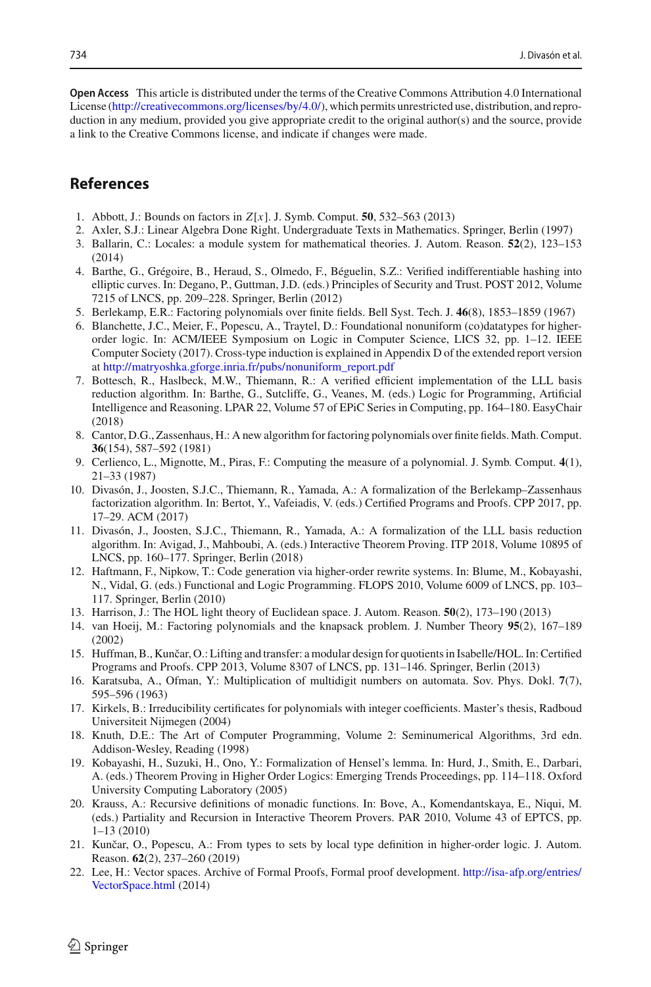**Open Access** This article is distributed under the terms of the Creative Commons Attribution 4.0 International License [\(http://creativecommons.org/licenses/by/4.0/\)](http://creativecommons.org/licenses/by/4.0/), which permits unrestricted use, distribution, and reproduction in any medium, provided you give appropriate credit to the original author(s) and the source, provide a link to the Creative Commons license, and indicate if changes were made.

# **References**

- <span id="page-35-16"></span>1. Abbott, J.: Bounds on factors in *Z*[*x*]. J. Symb. Comput. **50**, 532–563 (2013)
- <span id="page-35-13"></span>2. Axler, S.J.: Linear Algebra Done Right. Undergraduate Texts in Mathematics. Springer, Berlin (1997)
- <span id="page-35-11"></span>3. Ballarin, C.: Locales: a module system for mathematical theories. J. Autom. Reason. **52**(2), 123–153 (2014)
- <span id="page-35-6"></span>4. Barthe, G., Grégoire, B., Heraud, S., Olmedo, F., Béguelin, S.Z.: Verified indifferentiable hashing into elliptic curves. In: Degano, P., Guttman, J.D. (eds.) Principles of Security and Trust. POST 2012, Volume 7215 of LNCS, pp. 209–228. Springer, Berlin (2012)
- <span id="page-35-0"></span>5. Berlekamp, E.R.: Factoring polynomials over finite fields. Bell Syst. Tech. J. **46**(8), 1853–1859 (1967)
- <span id="page-35-17"></span>6. Blanchette, J.C., Meier, F., Popescu, A., Traytel, D.: Foundational nonuniform (co)datatypes for higherorder logic. In: ACM/IEEE Symposium on Logic in Computer Science, LICS 32, pp. 1–12. IEEE Computer Society (2017). Cross-type induction is explained in Appendix D of the extended report version at [http://matryoshka.gforge.inria.fr/pubs/nonuniform\\_report.pdf](http://matryoshka.gforge.inria.fr/pubs/nonuniform_report.pdf)
- <span id="page-35-18"></span>7. Bottesch, R., Haslbeck, M.W., Thiemann, R.: A verified efficient implementation of the LLL basis reduction algorithm. In: Barthe, G., Sutcliffe, G., Veanes, M. (eds.) Logic for Programming, Artificial Intelligence and Reasoning. LPAR 22, Volume 57 of EPiC Series in Computing, pp. 164–180. EasyChair (2018)
- <span id="page-35-1"></span>8. Cantor, D.G., Zassenhaus, H.: A new algorithm for factoring polynomials over finite fields. Math. Comput. **36**(154), 587–592 (1981)
- <span id="page-35-15"></span>9. Cerlienco, L., Mignotte, M., Piras, F.: Computing the measure of a polynomial. J. Symb. Comput. **4**(1), 21–33 (1987)
- <span id="page-35-9"></span>10. Divasón, J., Joosten, S.J.C., Thiemann, R., Yamada, A.: A formalization of the Berlekamp–Zassenhaus factorization algorithm. In: Bertot, Y., Vafeiadis, V. (eds.) Certified Programs and Proofs. CPP 2017, pp. 17–29. ACM (2017)
- <span id="page-35-5"></span>11. Divasón, J., Joosten, S.J.C., Thiemann, R., Yamada, A.: A formalization of the LLL basis reduction algorithm. In: Avigad, J., Mahboubi, A. (eds.) Interactive Theorem Proving. ITP 2018, Volume 10895 of LNCS, pp. 160–177. Springer, Berlin (2018)
- <span id="page-35-20"></span>12. Haftmann, F., Nipkow, T.: Code generation via higher-order rewrite systems. In: Blume, M., Kobayashi, N., Vidal, G. (eds.) Functional and Logic Programming. FLOPS 2010, Volume 6009 of LNCS, pp. 103– 117. Springer, Berlin (2010)
- <span id="page-35-10"></span>13. Harrison, J.: The HOL light theory of Euclidean space. J. Autom. Reason. **50**(2), 173–190 (2013)
- <span id="page-35-21"></span>14. van Hoeij, M.: Factoring polynomials and the knapsack problem. J. Number Theory **95**(2), 167–189 (2002)
- <span id="page-35-2"></span>15. Huffman, B., Kunčar, O.: Lifting and transfer: a modular design for quotients in Isabelle/HOL. In: Certified Programs and Proofs. CPP 2013, Volume 8307 of LNCS, pp. 131–146. Springer, Berlin (2013)
- <span id="page-35-19"></span>16. Karatsuba, A., Ofman, Y.: Multiplication of multidigit numbers on automata. Sov. Phys. Dokl. **7**(7), 595–596 (1963)
- <span id="page-35-8"></span>17. Kirkels, B.: Irreducibility certificates for polynomials with integer coefficients. Master's thesis, Radboud Universiteit Nijmegen (2004)
- <span id="page-35-4"></span>18. Knuth, D.E.: The Art of Computer Programming, Volume 2: Seminumerical Algorithms, 3rd edn. Addison-Wesley, Reading (1998)
- <span id="page-35-7"></span>19. Kobayashi, H., Suzuki, H., Ono, Y.: Formalization of Hensel's lemma. In: Hurd, J., Smith, E., Darbari, A. (eds.) Theorem Proving in Higher Order Logics: Emerging Trends Proceedings, pp. 114–118. Oxford University Computing Laboratory (2005)
- <span id="page-35-12"></span>20. Krauss, A.: Recursive definitions of monadic functions. In: Bove, A., Komendantskaya, E., Niqui, M. (eds.) Partiality and Recursion in Interactive Theorem Provers. PAR 2010, Volume 43 of EPTCS, pp. 1–13 (2010)
- <span id="page-35-3"></span>21. Kunčar, O., Popescu, A.: From types to sets by local type definition in higher-order logic. J. Autom. Reason. **62**(2), 237–260 (2019)
- <span id="page-35-14"></span>22. Lee, H.: Vector spaces. Archive of Formal Proofs, Formal proof development. [http://isa-afp.org/entries/](http://isa-afp.org/entries/VectorSpace.html) [VectorSpace.html](http://isa-afp.org/entries/VectorSpace.html) (2014)